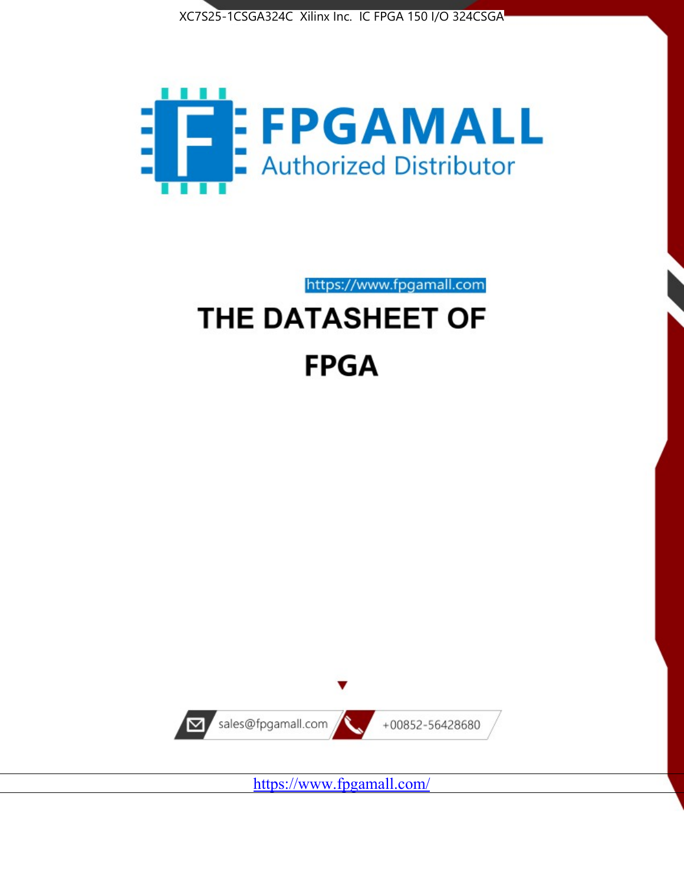



https://www.fpgamall.com THE DATASHEET OF

# **FPGA**



<https://www.fpgamall.com/>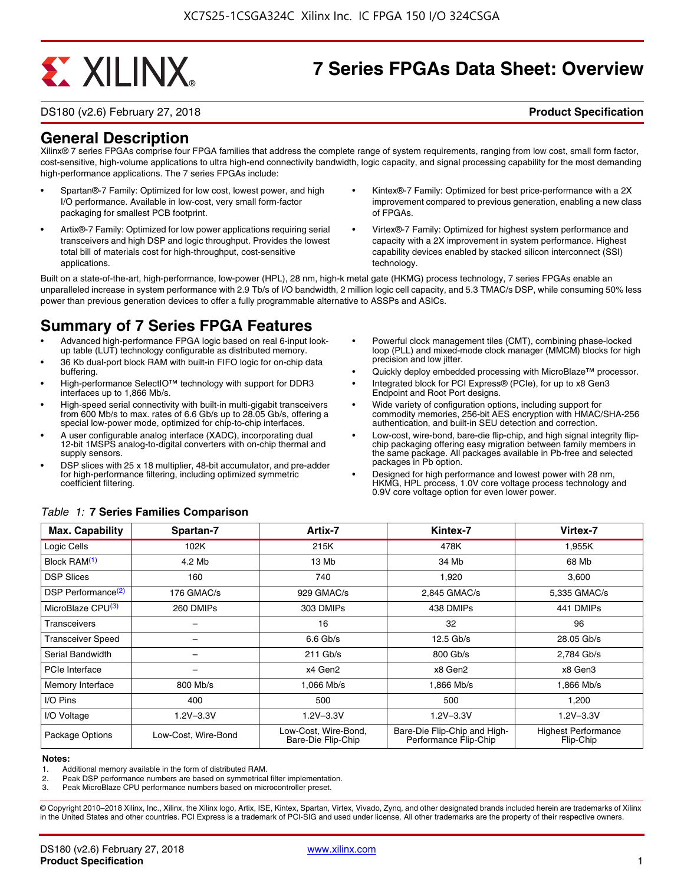# **EXALINX**

# **7 Series FPGAs Data Sheet: Overview**

DS180 (v2.6) February 27, 2018 **Product Specification**

**General Description**

Xilinx® 7 series FPGAs comprise four FPGA families that address the complete range of system requirements, ranging from low cost, small form factor, cost-sensitive, high-volume applications to ultra high-end connectivity bandwidth, logic capacity, and signal processing capability for the most demanding high-performance applications. The 7 series FPGAs include:

- Spartan®-7 Family: Optimized for low cost, lowest power, and high I/O performance. Available in low-cost, very small form-factor packaging for smallest PCB footprint.
- Artix®-7 Family: Optimized for low power applications requiring serial transceivers and high DSP and logic throughput. Provides the lowest total bill of materials cost for high-throughput, cost-sensitive applications.
- Kintex®-7 Family: Optimized for best price-performance with a 2X improvement compared to previous generation, enabling a new class of FPGAs.
- Virtex®-7 Family: Optimized for highest system performance and capacity with a 2X improvement in system performance. Highest capability devices enabled by stacked silicon interconnect (SSI) technology

Built on a state-of-the-art, high-performance, low-power (HPL), 28 nm, high-k metal gate (HKMG) process technology, 7 series FPGAs enable an unparalleled increase in system performance with 2.9 Tb/s of I/O bandwidth, 2 million logic cell capacity, and 5.3 TMAC/s DSP, while consuming 50% less power than previous generation devices to offer a fully programmable alternative to ASSPs and ASICs.

# **Summary of 7 Series FPGA Features**

- Advanced high-performance FPGA logic based on real 6-input lookup table (LUT) technology configurable as distributed memory.
- 36 Kb dual-port block RAM with built-in FIFO logic for on-chip data buffering.
- High-performance SelectIO™ technology with support for DDR3 interfaces up to 1,866 Mb/s.
- High-speed serial connectivity with built-in multi-gigabit transceivers from 600 Mb/s to max. rates of 6.6 Gb/s up to 28.05 Gb/s, offering a special low-power mode, optimized for chip-to-chip interfaces.
- A user configurable analog interface (XADC), incorporating dual 12-bit 1MSPS analog-to-digital converters with on-chip thermal and supply sensors.
- DSP slices with 25 x 18 multiplier, 48-bit accumulator, and pre-adder for high-performance filtering, including optimized symmetric coefficient filtering.
- Powerful clock management tiles (CMT), combining phase-locked loop (PLL) and mixed-mode clock manager (MMCM) blocks for high precision and low jitter.
- Quickly deploy embedded processing with MicroBlaze™ processor.
- Integrated block for PCI Express® (PCIe), for up to x8 Gen3 Endpoint and Root Port designs.
- Wide variety of configuration options, including support for commodity memories, 256-bit AES encryption with HMAC/SHA-256 authentication, and built-in SEU detection and correction.
- Low-cost, wire-bond, bare-die flip-chip, and high signal integrity flipchip packaging offering easy migration between family members in the same package. All packages available in Pb-free and selected packages in Pb option.
- Designed for high performance and lowest power with 28 nm, HKMG, HPL process, 1.0V core voltage process technology and 0.9V core voltage option for even lower power.

| <b>Max. Capability</b>         | Spartan-7           | Artix-7                                    | Kintex-7                                              | Virtex-7                                |
|--------------------------------|---------------------|--------------------------------------------|-------------------------------------------------------|-----------------------------------------|
| Logic Cells                    | 102K                | 215K                                       | 478K                                                  | 1,955K                                  |
| Block RAM <sup>(1)</sup>       | 4.2 Mb              | 13 Mb                                      | 34 Mb                                                 | 68 Mb                                   |
| <b>DSP Slices</b>              | 160                 | 740                                        | 1,920                                                 | 3,600                                   |
| DSP Performance <sup>(2)</sup> | 176 GMAC/s          | 929 GMAC/s                                 | 2.845 GMAC/s                                          | 5,335 GMAC/s                            |
| MicroBlaze CPU(3)              | 260 DMIPs           | 303 DMIPs                                  | 438 DMIPs                                             | 441 DMIPs                               |
| Transceivers                   |                     | 16                                         | 32                                                    | 96                                      |
| <b>Transceiver Speed</b>       |                     | $6.6$ Gb/s                                 | $12.5$ Gb/s                                           | 28.05 Gb/s                              |
| Serial Bandwidth               |                     | $211$ Gb/s                                 | 800 Gb/s                                              | 2,784 Gb/s                              |
| PCIe Interface                 |                     | x4 Gen2                                    | x8 Gen2                                               | x8 Gen3                                 |
| Memory Interface               | 800 Mb/s            | 1.066 Mb/s                                 | 1,866 Mb/s                                            | 1,866 Mb/s                              |
| I/O Pins                       | 400                 | 500                                        | 500                                                   | 1,200                                   |
| I/O Voltage                    | $1.2V - 3.3V$       | $1.2V - 3.3V$                              | $1.2V - 3.3V$                                         | $1.2V - 3.3V$                           |
| Package Options                | Low-Cost. Wire-Bond | Low-Cost, Wire-Bond,<br>Bare-Die Flip-Chip | Bare-Die Flip-Chip and High-<br>Performance Flip-Chip | <b>Highest Performance</b><br>Flip-Chip |

#### *Table 1:* **7 Series Families Comparison**

#### **Notes:**

1. Additional memory available in the form of distributed RAM.

2. Peak DSP performance numbers are based on symmetrical filter implementation.<br>3. Peak MicroBlaze CPU performance numbers based on microcontroller preset.

Peak MicroBlaze CPU performance numbers based on microcontroller preset.

© Copyright 2010–2018 Xilinx, Inc., Xilinx, the Xilinx logo, Artix, ISE, Kintex, Spartan, Virtex, Vivado, Zynq, and other designated brands included herein are trademarks of Xilinx in the United States and other countries. PCI Express is a trademark of PCI-SIG and used under license. All other trademarks are the property of their respective owners.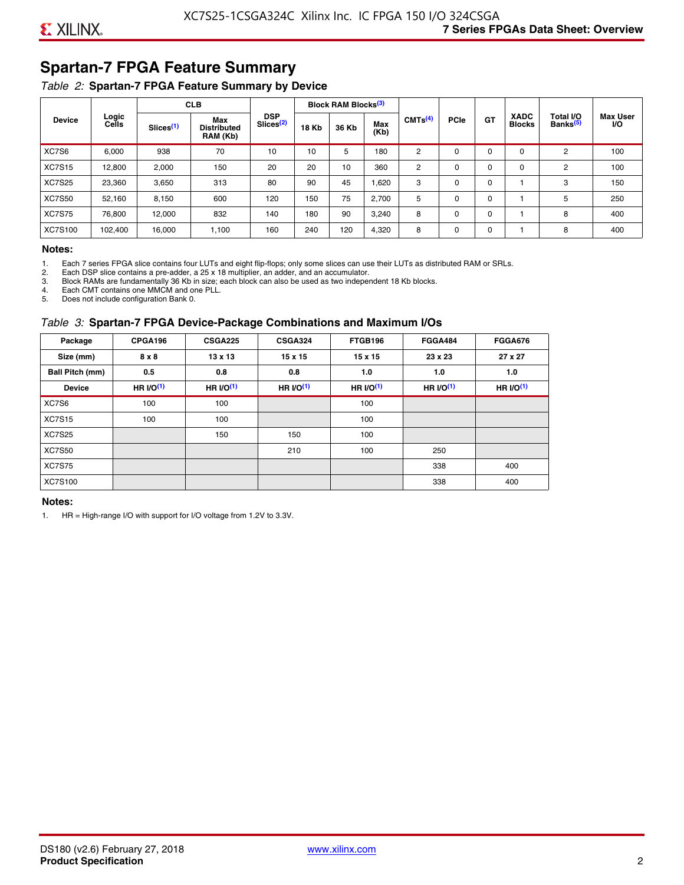# **Spartan-7 FPGA Feature Summary**

### *Table 2:* **Spartan-7 FPGA Feature Summary by Device**

|               |                |                       | <b>CLB</b>                            |                                     |              | <b>Block RAM Blocks</b> <sup>(3)</sup> |             |                     |             |             |                              |                                   |                              |
|---------------|----------------|-----------------------|---------------------------------------|-------------------------------------|--------------|----------------------------------------|-------------|---------------------|-------------|-------------|------------------------------|-----------------------------------|------------------------------|
| <b>Device</b> | Logic<br>Cells | Slices <sup>(1)</sup> | Max<br><b>Distributed</b><br>RAM (Kb) | <b>DSP</b><br>Slices <sup>(2)</sup> | <b>18 Kb</b> | 36 Kb                                  | Max<br>(Kb) | CMTS <sup>(4)</sup> | <b>PCle</b> | GT          | <b>XADC</b><br><b>Blocks</b> | Total I/O<br>Banks <sup>(5)</sup> | <b>Max User</b><br><b>VO</b> |
| XC7S6         | 6,000          | 938                   | 70                                    | 10                                  | 10           | 5                                      | 180         | 2                   | $\Omega$    | $\Omega$    | $\Omega$                     | 2                                 | 100                          |
| <b>XC7S15</b> | 12,800         | 2,000                 | 150                                   | 20                                  | 20           | 10                                     | 360         | 2                   | 0           | $\mathbf 0$ | 0                            | 2                                 | 100                          |
| <b>XC7S25</b> | 23,360         | 3,650                 | 313                                   | 80                                  | 90           | 45                                     | 1,620       | 3                   | 0           | 0           |                              | 3                                 | 150                          |
| <b>XC7S50</b> | 52,160         | 8,150                 | 600                                   | 120                                 | 150          | 75                                     | 2,700       | 5                   | $\Omega$    | 0           |                              | 5                                 | 250                          |
| <b>XC7S75</b> | 76,800         | 12.000                | 832                                   | 140                                 | 180          | 90                                     | 3,240       | 8                   | 0           | 0           |                              | 8                                 | 400                          |
| XC7S100       | 102,400        | 16,000                | 1,100                                 | 160                                 | 240          | 120                                    | 4,320       | 8                   | 0           | $\mathbf 0$ |                              | 8                                 | 400                          |

#### **Notes:**

1. Each 7 series FPGA slice contains four LUTs and eight flip-flops; only some slices can use their LUTs as distributed RAM or SRLs.<br>2. Each DSP slice contains a pre-adder. a 25 x 18 multiplier. an adder. and an accumulato

2. Each DSP slice contains a pre-adder, a 25 x 18 multiplier, an adder, and an accumulator. 3. Block RAMs are fundamentally 36 Kb in size; each block can also be used as two independent 18 Kb blocks.

4. Each CMT contains one MMCM and one PLL.

5. Does not include configuration Bank 0.

#### *Table 3:* **Spartan-7 FPGA Device-Package Combinations and Maximum I/Os**

| Package         | CPGA196      | <b>CSGA225</b> | <b>CSGA324</b> | FTGB196    | <b>FGGA484</b> | <b>FGGA676</b> |
|-----------------|--------------|----------------|----------------|------------|----------------|----------------|
| Size (mm)       | $8 \times 8$ | $13 \times 13$ | $15 \times 15$ | 15 x 15    | 23 x 23        | 27 x 27        |
| Ball Pitch (mm) | 0.5          | 0.8            | 0.8            | 1.0        | 1.0            | 1.0            |
| <b>Device</b>   | HR $UO(1)$   | HR $UO(1)$     | HR $UO(1)$     | HR $l$ (1) | HR $UO(1)$     | HR $UO(1)$     |
| XC7S6           | 100          | 100            |                | 100        |                |                |
| <b>XC7S15</b>   | 100          | 100            |                | 100        |                |                |
| <b>XC7S25</b>   |              | 150            | 150            | 100        |                |                |
| <b>XC7S50</b>   |              |                | 210            | 100        | 250            |                |
| <b>XC7S75</b>   |              |                |                |            | 338            | 400            |
| <b>XC7S100</b>  |              |                |                |            | 338            | 400            |

#### **Notes:**

1. HR = High-range I/O with support for I/O voltage from 1.2V to 3.3V.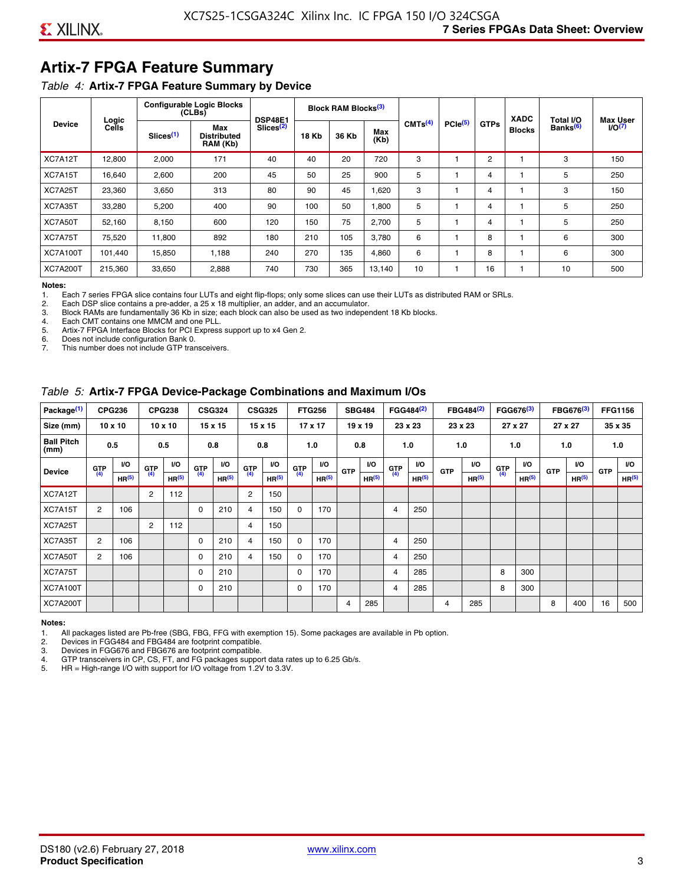# **Artix-7 FPGA Feature Summary**

#### *Table 4:* **Artix-7 FPGA Feature Summary by Device**

|                 |                |                       | <b>Configurable Logic Blocks</b><br>(CLBs) | <b>DSP48E1</b>        |              | Block RAM Blocks <sup>(3)</sup> |             |                     |                     |             | <b>XADC</b>   | Total I/O            | <b>Max User</b>    |
|-----------------|----------------|-----------------------|--------------------------------------------|-----------------------|--------------|---------------------------------|-------------|---------------------|---------------------|-------------|---------------|----------------------|--------------------|
| <b>Device</b>   | Logic<br>Cells | Slices <sup>(1)</sup> | Max<br><b>Distributed</b><br>RAM (Kb)      | Slices <sup>(2)</sup> | <b>18 Kb</b> | 36 Kb                           | Max<br>(Kb) | CMTS <sup>(4)</sup> | PCle <sup>(5)</sup> | <b>GTPs</b> | <b>Blocks</b> | Banks <sup>(6)</sup> | I/O <sub>(7)</sub> |
| XC7A12T         | 12,800         | 2,000                 | 171                                        | 40                    | 40           | 20                              | 720         | 3                   |                     | 2           |               | 3                    | 150                |
| XC7A15T         | 16,640         | 2,600                 | 200                                        | 45                    | 50           | 25                              | 900         | 5                   |                     | 4           |               | 5                    | 250                |
| XC7A25T         | 23,360         | 3,650                 | 313                                        | 80                    | 90           | 45                              | 1,620       | 3                   |                     | 4           |               | 3                    | 150                |
| XC7A35T         | 33,280         | 5,200                 | 400                                        | 90                    | 100          | 50                              | 1,800       | 5                   |                     | 4           |               | 5                    | 250                |
| XC7A50T         | 52,160         | 8,150                 | 600                                        | 120                   | 150          | 75                              | 2.700       | 5                   |                     | 4           |               | 5                    | 250                |
| XC7A75T         | 75,520         | 11,800                | 892                                        | 180                   | 210          | 105                             | 3,780       | 6                   |                     | 8           |               | 6                    | 300                |
| <b>XC7A100T</b> | 101.440        | 15,850                | 1.188                                      | 240                   | 270          | 135                             | 4,860       | 6                   |                     | 8           |               | 6                    | 300                |
| <b>XC7A200T</b> | 215,360        | 33,650                | 2,888                                      | 740                   | 730          | 365                             | 13,140      | 10                  |                     | 16          |               | 10                   | 500                |

**Notes:**  Each 7 series FPGA slice contains four LUTs and eight flip-flops; only some slices can use their LUTs as distributed RAM or SRLs.

2. Each DSP slice contains a pre-adder, a 25 x 18 multiplier, an adder, and an accumulator.

3. Block RAMs are fundamentally 36 Kb in size; each block can also be used as two independent 18 Kb blocks.

4. Each CMT contains one MMCM and one PLL.<br>5. Artix-7 FPGA Interface Blocks for PCI Express

5. Artix-7 FPGA Interface Blocks for PCI Express support up to x4 Gen 2.<br>6. Does not include configuration Bank 0.

6. Does not include configuration Bank 0.

This number does not include GTP transceivers.

#### *Table 5:* **Artix-7 FPGA Device-Package Combinations and Maximum I/Os**

| Package <sup>(1)</sup>    |       | <b>CPG236</b>     |            | <b>CPG238</b>     |            | <b>CSG324</b> |                | <b>CSG325</b>     |       | <b>FTG256</b>     |            | <b>SBG484</b>     |                | FGG484 <sup>(2)</sup> |                | FBG484 <sup>(2)</sup> |       | FGG676 <sup>(3)</sup> |            | FBG676 <sup>(3)</sup> |            | <b>FFG1156</b> |
|---------------------------|-------|-------------------|------------|-------------------|------------|---------------|----------------|-------------------|-------|-------------------|------------|-------------------|----------------|-----------------------|----------------|-----------------------|-------|-----------------------|------------|-----------------------|------------|----------------|
| Size (mm)                 |       | $10 \times 10$    |            | $10 \times 10$    |            | 15 x 15       |                | 15 x 15           |       | 17 x 17           |            | 19 x 19           |                | 23 x 23               |                | 23 x 23               |       | 27 x 27               |            | 27 x 27               |            | 35 x 35        |
| <b>Ball Pitch</b><br>(mm) |       | 0.5               |            | 0.5               |            | 0.8           | 0.8            |                   |       | 1.0               |            | 0.8               |                | 1.0                   |                | 1.0                   |       | 1.0                   |            | 1.0                   |            | 1.0            |
| <b>Device</b>             | G(TP) | <b>VO</b>         | <b>GTP</b> | <b>VO</b>         | <b>GTP</b> | <b>VO</b>     | G(T)           | <b>VO</b>         | G(TP) | <b>VO</b>         | <b>GTP</b> | VO.               | G(T)           | <b>VO</b>             | <b>GTP</b>     | I/O                   | G(TP) | <b>VO</b>             | <b>GTP</b> | <b>VO</b>             | <b>GTP</b> | <b>VO</b>      |
|                           |       | HR <sup>(5)</sup> | (4)        | HR <sup>(5)</sup> | (4)        | HP(5)         |                | HR <sup>(5)</sup> |       | HR <sup>(5)</sup> |            | HR <sup>(5)</sup> |                | HR <sup>(5)</sup>     |                | HR <sup>(5)</sup>     |       | HR <sup>(5)</sup>     |            | HR <sup>(5)</sup>     |            | HP(5)          |
| XC7A12T                   |       |                   | 2          | 112               |            |               | $\overline{2}$ | 150               |       |                   |            |                   |                |                       |                |                       |       |                       |            |                       |            |                |
| XC7A15T                   | 2     | 106               |            |                   | 0          | 210           | 4              | 150               | 0     | 170               |            |                   | $\overline{4}$ | 250                   |                |                       |       |                       |            |                       |            |                |
| XC7A25T                   |       |                   | 2          | 112               |            |               | 4              | 150               |       |                   |            |                   |                |                       |                |                       |       |                       |            |                       |            |                |
| XC7A35T                   | 2     | 106               |            |                   | 0          | 210           | 4              | 150               | 0     | 170               |            |                   | 4              | 250                   |                |                       |       |                       |            |                       |            |                |
| XC7A50T                   | 2     | 106               |            |                   | 0          | 210           | 4              | 150               | 0     | 170               |            |                   | 4              | 250                   |                |                       |       |                       |            |                       |            |                |
| XC7A75T                   |       |                   |            |                   | 0          | 210           |                |                   | 0     | 170               |            |                   | 4              | 285                   |                |                       | 8     | 300                   |            |                       |            |                |
| <b>XC7A100T</b>           |       |                   |            |                   | $\Omega$   | 210           |                |                   | 0     | 170               |            |                   | 4              | 285                   |                |                       | 8     | 300                   |            |                       |            |                |
| <b>XC7A200T</b>           |       |                   |            |                   |            |               |                |                   |       |                   | 4          | 285               |                |                       | $\overline{4}$ | 285                   |       |                       | 8          | 400                   | 16         | 500            |

#### **Notes:**

1. All packages listed are Pb-free (SBG, FBG, FFG with exemption 15). Some packages are available in Pb option.

2. Devices in FGG484 and FBG484 are footprint compatible.

3. Devices in FGG676 and FBG676 are footprint compatible.

4. GTP transceivers in CP, CS, FT, and FG packages support data rates up to 6.25 Gb/s.<br>5. HR = High-range I/O with support for I/O voltage from 1.2V to 3.3V.

HR = High-range I/O with support for I/O voltage from 1.2V to 3.3V.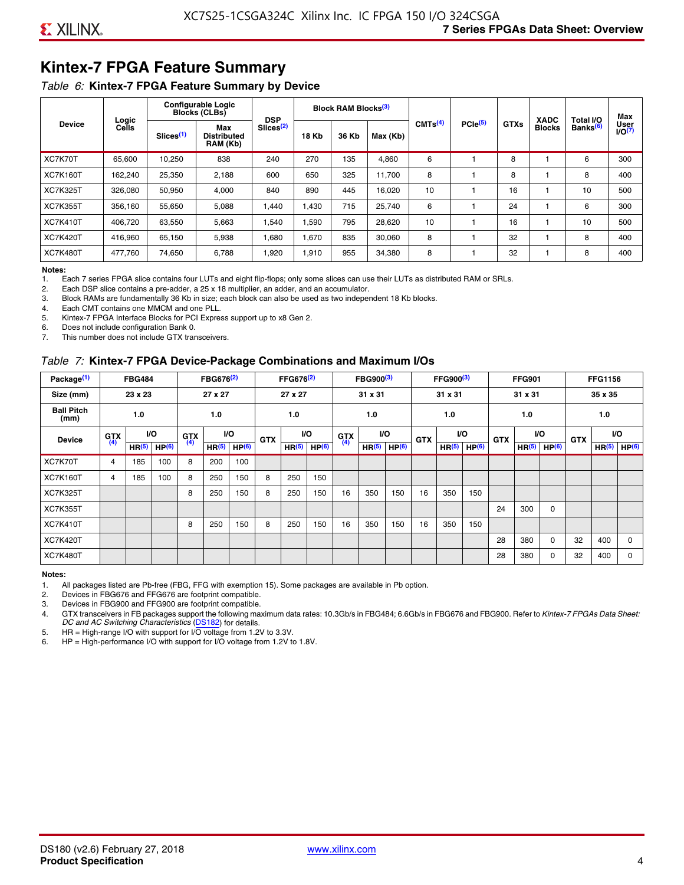# **Kintex-7 FPGA Feature Summary**

#### *Table 6:* **Kintex-7 FPGA Feature Summary by Device**

|                 |                |                       | <b>Configurable Logic</b><br><b>Blocks (CLBs)</b> | <b>DSP</b>            |              | Block RAM Blocks <sup>(3)</sup> |                                          |    |                     |             | <b>XADC</b>   | Total I/O            | Max            |
|-----------------|----------------|-----------------------|---------------------------------------------------|-----------------------|--------------|---------------------------------|------------------------------------------|----|---------------------|-------------|---------------|----------------------|----------------|
| <b>Device</b>   | Logic<br>Cells | Slices <sup>(1)</sup> | Max<br>Distributed<br>RAM (Kb)                    | Slices <sup>(2)</sup> | <b>18 Kb</b> | 36 Kb                           | CMTS <sup>(4)</sup><br>Max (Kb)<br>4,860 |    | PCle <sup>(5)</sup> | <b>GTXs</b> | <b>Blocks</b> | Banks <sup>(6)</sup> | User<br>1/O(7) |
| XC7K70T         | 65.600         | 10,250                | 838                                               | 240                   | 270          | 135                             |                                          | 6  |                     | 8           |               | 6                    | 300            |
| <b>XC7K160T</b> | 162,240        | 25,350                | 2,188                                             | 600                   | 650          | 325                             | 11,700                                   | 8  |                     | 8           |               | 8                    | 400            |
| <b>XC7K325T</b> | 326.080        | 50,950                | 4,000                                             | 840                   | 890          | 445                             | 16,020                                   | 10 |                     | 16          |               | 10                   | 500            |
| <b>XC7K355T</b> | 356.160        | 55,650                | 5,088                                             | 1.440                 | 1.430        | 715                             | 25,740                                   | 6  |                     | 24          |               | 6                    | 300            |
| <b>XC7K410T</b> | 406.720        | 63,550                | 5,663                                             | .540                  | 1,590        | 795                             | 28,620                                   | 10 |                     | 16          |               | 10                   | 500            |
| <b>XC7K420T</b> | 416.960        | 65.150                | 5,938                                             | 1,680                 | 1,670        | 835                             | 30,060                                   | 8  |                     | 32          |               | 8                    | 400            |
| <b>XC7K480T</b> | 477,760        | 74,650                | 6,788                                             | 1,920                 | 1,910        | 955                             | 34,380                                   | 8  |                     | 32          |               | 8                    | 400            |

#### **Notes:**

1. Each 7 series FPGA slice contains four LUTs and eight flip-flops; only some slices can use their LUTs as distributed RAM or SRLs.<br>2. Each DSP slice contains a pre-adder, a 25 x 18 multiplier, an adder, and an accumulato

Each DSP slice contains a pre-adder, a 25 x 18 multiplier, an adder, and an accumulator.

3. Block RAMs are fundamentally 36 Kb in size; each block can also be used as two independent 18 Kb blocks.

4. Each CMT contains one MMCM and one PLL.

5. Kintex-7 FPGA Interface Blocks for PCI Express support up to x8 Gen 2.

6. Does not include configuration Bank 0.

7. This number does not include GTX transceivers.

#### *Table 7:* **Kintex-7 FPGA Device-Package Combinations and Maximum I/Os**

| Package <sup>(1)</sup>    |            | <b>FBG484</b>     |                   |            | FBG676 <sup>(2)</sup> |                   |            | FFG676 <sup>(2)</sup> |                   |            | FBG900 <sup>(3)</sup> |           |            | FFG900 <sup>(3)</sup> |                   |            | <b>FFG901</b>     |                   |            | <b>FFG1156</b>    |                   |
|---------------------------|------------|-------------------|-------------------|------------|-----------------------|-------------------|------------|-----------------------|-------------------|------------|-----------------------|-----------|------------|-----------------------|-------------------|------------|-------------------|-------------------|------------|-------------------|-------------------|
| Size (mm)                 |            | 23 x 23           |                   |            | 27 x 27               |                   |            | 27 x 27               |                   |            | 31 x 31               |           |            | 31 x 31               |                   |            | 31 x 31           |                   |            | 35 x 35           |                   |
| <b>Ball Pitch</b><br>(mm) |            | 1.0               |                   |            | 1.0                   |                   |            | 1.0                   |                   |            | 1.0                   |           |            | 1.0                   |                   |            | 1.0               |                   |            | 1.0               |                   |
| <b>Device</b>             | <b>GTX</b> |                   | VO.               | <b>GTX</b> | <b>VO</b>             |                   | <b>GTX</b> |                       | <b>VO</b>         | <b>GTX</b> |                       | <b>VO</b> | <b>GTX</b> | <b>VO</b>             |                   | <b>GTX</b> |                   | VO                | <b>GTX</b> | <b>VO</b>         |                   |
|                           | (4)        | HR <sup>(5)</sup> | HP <sup>(6)</sup> | (4)        | HR <sup>(5)</sup>     | HP <sup>(6)</sup> |            | HR <sup>(5)</sup>     | HP <sup>(6)</sup> | (4)        | HR <sup>(5)</sup>     | HP(6)     |            | HR <sup>(5)</sup>     | HP <sup>(6)</sup> |            | HR <sup>(5)</sup> | HP <sup>(6)</sup> |            | HR <sup>(5)</sup> | HP <sup>(6)</sup> |
| XC7K70T                   | 4          | 185               | 100               | 8          | 200                   | 100               |            |                       |                   |            |                       |           |            |                       |                   |            |                   |                   |            |                   |                   |
| <b>XC7K160T</b>           | 4          | 185               | 100               | 8          | 250                   | 150               | 8          | 250                   | 150               |            |                       |           |            |                       |                   |            |                   |                   |            |                   |                   |
| <b>XC7K325T</b>           |            |                   |                   | 8          | 250                   | 150               | 8          | 250                   | 150               | 16         | 350                   | 150       | 16         | 350                   | 150               |            |                   |                   |            |                   |                   |
| <b>XC7K355T</b>           |            |                   |                   |            |                       |                   |            |                       |                   |            |                       |           |            |                       |                   | 24         | 300               | 0                 |            |                   |                   |
| <b>XC7K410T</b>           |            |                   |                   | 8          | 250                   | 150               | 8          | 250                   | 150               | 16         | 350                   | 150       | 16         | 350                   | 150               |            |                   |                   |            |                   |                   |
| <b>XC7K420T</b>           |            |                   |                   |            |                       |                   |            |                       |                   |            |                       |           |            |                       |                   | 28         | 380               | $\Omega$          | 32         | 400               | $\Omega$          |
| <b>XC7K480T</b>           |            |                   |                   |            |                       |                   |            |                       |                   |            |                       |           |            |                       |                   | 28         | 380               | 0                 | 32         | 400               | $\Omega$          |

#### **Notes:**

1. All packages listed are Pb-free (FBG, FFG with exemption 15). Some packages are available in Pb option.

2. Devices in FBG676 and FFG676 are footprint compatible.

3. Devices in FBG900 and FFG900 are footprint compatible. 4. GTX transceivers in FB packages support the following maximum data rates: 10.3Gb/s in FBG484; 6.6Gb/s in FBG676 and FBG900. Refer to *Kintex-7 FPGAs Data Sheet: DC and AC Switching Characteristics* [\(DS182](https://www.xilinx.com/support/documentation/data_sheets/ds182_Kintex_7_Data_Sheet.pdf)) for details.

5. HR = High-range I/O with support for I/O voltage from 1.2V to 3.3V.

6. HP = High-performance I/O with support for I/O voltage from 1.2V to 1.8V.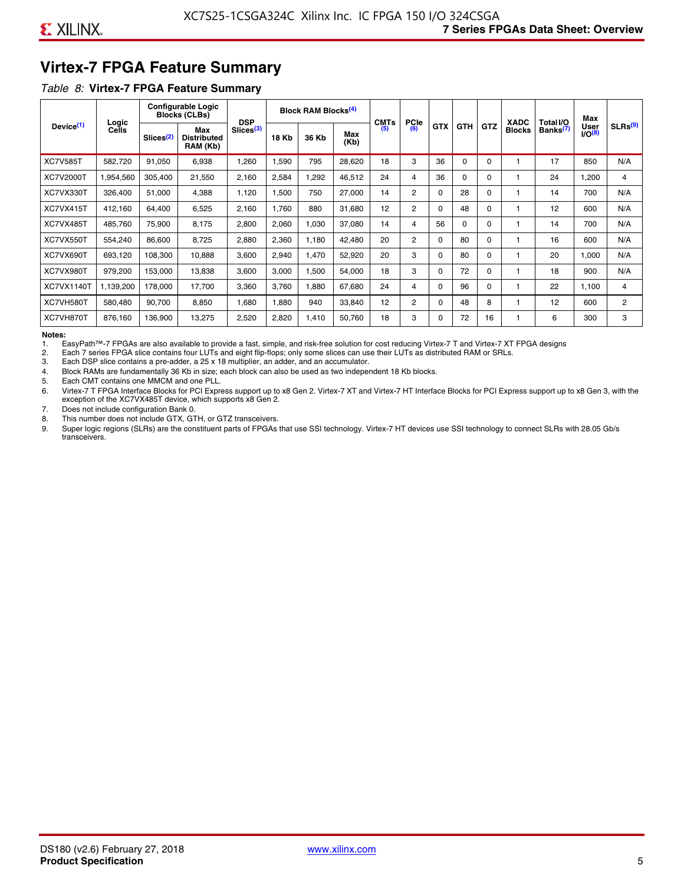# **Virtex-7 FPGA Feature Summary**

#### *Table 8:* **Virtex-7 FPGA Feature Summary**

|                       |                       |                       | <b>Configurable Logic</b><br><b>Blocks (CLBs)</b> | <b>DSP</b>            |       | <b>Block RAM Blocks<sup>(4)</sup></b> |             | <b>CMTs</b> | <b>PCIe</b>    |            |            |            | <b>XADC</b>   | Total I/O            | Max                              |                     |
|-----------------------|-----------------------|-----------------------|---------------------------------------------------|-----------------------|-------|---------------------------------------|-------------|-------------|----------------|------------|------------|------------|---------------|----------------------|----------------------------------|---------------------|
| Device <sup>(1)</sup> | Logic<br><b>Cells</b> | Slices <sup>(2)</sup> | Max<br><b>Distributed</b><br>RAM (Kb)             | Slices <sup>(3)</sup> | 18 Kb | 36 Kb                                 | Max<br>(Kb) | (5)         | (6)            | <b>GTX</b> | <b>GTH</b> | <b>GTZ</b> | <b>Blocks</b> | Banks <sup>(7)</sup> | <b>User</b><br>IO <sup>(8)</sup> | SLRs <sup>(9)</sup> |
| <b>XC7V585T</b>       | 582,720               | 91,050                | 6,938                                             | .260                  | 1,590 | 795                                   | 28,620      | 18          | 3              | 36         | $\Omega$   | 0          |               | 17                   | 850                              | N/A                 |
| <b>XC7V2000T</b>      | 1,954,560             | 305,400               | 21,550                                            | 2,160                 | 2,584 | ,292                                  | 46,512      | 24          | 4              | 36         | $\Omega$   | $\Omega$   |               | 24                   | 1,200                            | 4                   |
| XC7VX330T             | 326,400               | 51,000                | 4,388                                             | 1,120                 | 1,500 | 750                                   | 27,000      | 14          | $\overline{2}$ | $\Omega$   | 28         | 0          |               | 14                   | 700                              | N/A                 |
| XC7VX415T             | 412.160               | 64.400                | 6,525                                             | 2,160                 | 1.760 | 880                                   | 31,680      | 12          | $\overline{2}$ | $\Omega$   | 48         | $\Omega$   |               | 12                   | 600                              | N/A                 |
| XC7VX485T             | 485,760               | 75,900                | 8,175                                             | 2,800                 | 2,060 | 1,030                                 | 37,080      | 14          | 4              | 56         | $\Omega$   | $\Omega$   |               | 14                   | 700                              | N/A                 |
| XC7VX550T             | 554,240               | 86,600                | 8,725                                             | 2,880                 | 2,360 | 1,180                                 | 42,480      | 20          | $\overline{2}$ | $\Omega$   | 80         | $\Omega$   |               | 16                   | 600                              | N/A                 |
| XC7VX690T             | 693,120               | 108,300               | 10,888                                            | 3,600                 | 2,940 | 1,470                                 | 52,920      | 20          | 3              | $\Omega$   | 80         | 0          |               | 20                   | 1,000                            | N/A                 |
| XC7VX980T             | 979,200               | 153,000               | 13,838                                            | 3,600                 | 3,000 | <b>.500</b>                           | 54,000      | 18          | 3              | $\Omega$   | 72         | 0          |               | 18                   | 900                              | N/A                 |
| <b>XC7VX1140T</b>     | 1.139.200             | 178.000               | 17.700                                            | 3,360                 | 3.760 | ,880                                  | 67,680      | 24          | 4              | $\Omega$   | 96         | $\Omega$   |               | 22                   | 1.100                            | 4                   |
| XC7VH580T             | 580,480               | 90,700                | 8,850                                             | <b>080.</b>           | 1,880 | 940                                   | 33,840      | 12          | $\overline{c}$ | $\Omega$   | 48         | 8          |               | 12                   | 600                              | $\overline{c}$      |
| XC7VH870T             | 876,160               | 136,900               | 13,275                                            | 2,520                 | 2,820 | 1,410                                 | 50,760      | 18          | 3              | $\Omega$   | 72         | 16         |               | 6                    | 300                              | 3                   |

#### **Notes:**

1. EasyPath™-7 FPGAs are also available to provide a fast, simple, and risk-free solution for cost reducing Virtex-7 T and Virtex-7 XT FPGA designs

2. Each 7 series FPGA slice contains four LUTs and eight flip-flops; only some slices can use their LUTs as distributed RAM or SRLs.

Each DSP slice contains a pre-adder, a 25 x 18 multiplier, an adder, and an accumulator.

4. Block RAMs are fundamentally 36 Kb in size; each block can also be used as two independent 18 Kb blocks.

5. Each CMT contains one MMCM and one PLL.

6. Virtex-7 T FPGA Interface Blocks for PCI Express support up to x8 Gen 2. Virtex-7 XT and Virtex-7 HT Interface Blocks for PCI Express support up to x8 Gen 3, with the exception of the XC7VX485T device, which supports x8 Gen 2.

7. Does not include configuration Bank 0.

8. This number does not include GTX, GTH, or GTZ transceivers.

9. Super logic regions (SLRs) are the constituent parts of FPGAs that use SSI technology. Virtex-7 HT devices use SSI technology to connect SLRs with 28.05 Gb/s transceivers.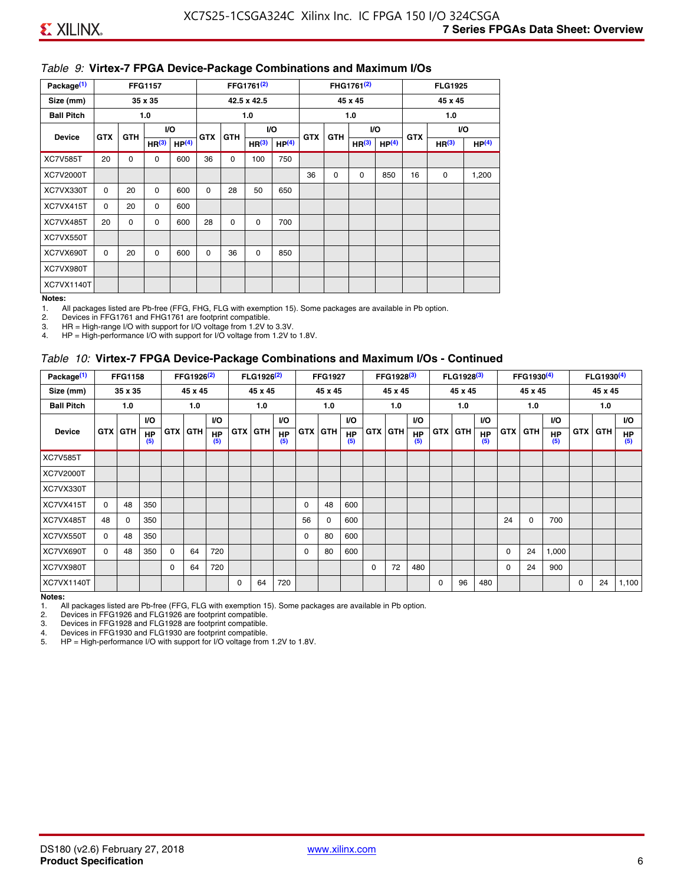#### *Table 9:* **Virtex-7 FPGA Device-Package Combinations and Maximum I/Os**

| Package <sup>(1)</sup> |            | <b>FFG1157</b><br>35 x 35 |                   |                   |            |            | FFG1761 <sup>(2)</sup> |                   |            |             | FHG1761 <sup>(2)</sup> |                   |            | <b>FLG1925</b>    |                   |
|------------------------|------------|---------------------------|-------------------|-------------------|------------|------------|------------------------|-------------------|------------|-------------|------------------------|-------------------|------------|-------------------|-------------------|
| Size (mm)              |            |                           |                   |                   |            |            | 42.5 x 42.5            |                   |            |             | 45 x 45                |                   |            | 45 x 45           |                   |
| <b>Ball Pitch</b>      |            |                           | 1.0               |                   |            |            | 1.0                    |                   |            |             | 1.0                    |                   |            | 1.0               |                   |
| <b>Device</b>          | <b>GTX</b> | <b>GTH</b>                |                   | I/O               | <b>GTX</b> | <b>GTH</b> |                        | I/O               | <b>GTX</b> | <b>GTH</b>  | VO.                    |                   | <b>GTX</b> |                   | VO.               |
|                        |            |                           | HR <sup>(3)</sup> | HP <sup>(4)</sup> |            |            | HR <sup>(3)</sup>      | HP <sup>(4)</sup> |            |             | HR <sup>(3)</sup>      | HP <sup>(4)</sup> |            | HR <sup>(3)</sup> | HP <sup>(4)</sup> |
| <b>XC7V585T</b>        | 20         | $\Omega$                  | $\Omega$          | 600               | 36         | 0          | 100                    | 750               |            |             |                        |                   |            |                   |                   |
| XC7V2000T              |            |                           |                   |                   |            |            |                        |                   | 36         | $\mathbf 0$ | 0                      | 850               | 16         | 0                 | 1,200             |
| XC7VX330T              | $\Omega$   | 20                        | $\Omega$          | 600               | $\Omega$   | 28         | 50                     | 650               |            |             |                        |                   |            |                   |                   |
| XC7VX415T              | $\Omega$   | 20                        | $\Omega$          | 600               |            |            |                        |                   |            |             |                        |                   |            |                   |                   |
| XC7VX485T              | 20         | $\mathbf 0$               | 0                 | 600               | 28         | 0          | $\mathbf 0$            | 700               |            |             |                        |                   |            |                   |                   |
| XC7VX550T              |            |                           |                   |                   |            |            |                        |                   |            |             |                        |                   |            |                   |                   |
| XC7VX690T              | $\Omega$   | 20                        | $\Omega$          | 600               | $\Omega$   | 36         | $\Omega$               | 850               |            |             |                        |                   |            |                   |                   |
| XC7VX980T              |            |                           |                   |                   |            |            |                        |                   |            |             |                        |                   |            |                   |                   |
| XC7VX1140T             |            |                           |                   |                   |            |            |                        |                   |            |             |                        |                   |            |                   |                   |

#### **Notes:**

1. All packages listed are Pb-free (FFG, FHG, FLG with exemption 15). Some packages are available in Pb option.

2. Devices in FFG1761 and FHG1761 are footprint compatible.<br>3. HR = High-range I/O with support for I/O voltage from 1.2V to

HR = High-range I/O with support for I/O voltage from 1.2V to 3.3V.

4. HP = High-performance I/O with support for I/O voltage from 1.2V to 1.8V.

#### *Table 10:* **Virtex-7 FPGA Device-Package Combinations and Maximum I/Os - Continued**

| Package <sup>(1)</sup> |          | <b>FFG1158</b> |                  |            | FFG1926 <sup>(2)</sup> |                  |            | FLG1926 <sup>(2)</sup> |                  |    | <b>FFG1927</b> |                  |            | FFG1928 <sup>(3)</sup> |                  |            | FLG1928 <sup>(3)</sup> |                  |            | FFG1930 <sup>(4)</sup> |                  |            | $FLG1930^{(4)}$ |                  |
|------------------------|----------|----------------|------------------|------------|------------------------|------------------|------------|------------------------|------------------|----|----------------|------------------|------------|------------------------|------------------|------------|------------------------|------------------|------------|------------------------|------------------|------------|-----------------|------------------|
| Size (mm)              |          | 35 x 35        |                  |            | 45 x 45                |                  |            | 45 x 45                |                  |    | 45 x 45        |                  |            | 45 x 45                |                  |            | 45 x 45                |                  |            | 45 x 45                |                  |            | 45 x 45         |                  |
| <b>Ball Pitch</b>      |          | 1.0            |                  |            | 1.0                    |                  |            | 1.0                    |                  |    | 1.0            |                  |            | 1.0                    |                  |            | 1.0                    |                  |            | 1.0                    |                  |            | 1.0             |                  |
|                        |          |                | <b>VO</b>        |            |                        | <b>VO</b>        |            |                        | <b>VO</b>        |    |                | <b>VO</b>        |            |                        | <b>VO</b>        |            |                        | <b>VO</b>        |            |                        | <b>VO</b>        |            |                 | <b>VO</b>        |
| <b>Device</b>          |          | <b>GTX GTH</b> | <b>HP</b><br>(5) | <b>GTX</b> | <b>GTH</b>             | <b>HP</b><br>(5) | <b>GTX</b> | <b>GTH</b>             | <b>HP</b><br>(5) |    | <b>GTX GTH</b> | <b>HP</b><br>(5) | <b>GTX</b> | <b>GTH</b>             | <b>HP</b><br>(5) | <b>GTX</b> | <b>GTH</b>             | <b>HP</b><br>(5) | <b>GTX</b> | GTH                    | <b>HP</b><br>(5) | <b>GTX</b> | GTH             | <b>HP</b><br>(5) |
| <b>XC7V585T</b>        |          |                |                  |            |                        |                  |            |                        |                  |    |                |                  |            |                        |                  |            |                        |                  |            |                        |                  |            |                 |                  |
| <b>XC7V2000T</b>       |          |                |                  |            |                        |                  |            |                        |                  |    |                |                  |            |                        |                  |            |                        |                  |            |                        |                  |            |                 |                  |
| XC7VX330T              |          |                |                  |            |                        |                  |            |                        |                  |    |                |                  |            |                        |                  |            |                        |                  |            |                        |                  |            |                 |                  |
| XC7VX415T              | $\Omega$ | 48             | 350              |            |                        |                  |            |                        |                  | 0  | 48             | 600              |            |                        |                  |            |                        |                  |            |                        |                  |            |                 |                  |
| XC7VX485T              | 48       | $\Omega$       | 350              |            |                        |                  |            |                        |                  | 56 | 0              | 600              |            |                        |                  |            |                        |                  | 24         | $\Omega$               | 700              |            |                 |                  |
| XC7VX550T              | $\Omega$ | 48             | 350              |            |                        |                  |            |                        |                  | 0  | 80             | 600              |            |                        |                  |            |                        |                  |            |                        |                  |            |                 |                  |
| XC7VX690T              | $\Omega$ | 48             | 350              | $\Omega$   | 64                     | 720              |            |                        |                  | 0  | 80             | 600              |            |                        |                  |            |                        |                  | 0          | 24                     | 1,000            |            |                 |                  |
| XC7VX980T              |          |                |                  | $\Omega$   | 64                     | 720              |            |                        |                  |    |                |                  | $\Omega$   | 72                     | 480              |            |                        |                  | 0          | 24                     | 900              |            |                 |                  |
| <b>XC7VX1140T</b>      |          |                |                  |            |                        |                  | $\Omega$   | 64                     | 720              |    |                |                  |            |                        |                  | $\Omega$   | 96                     | 480              |            |                        |                  | $\Omega$   | 24              | 1,100            |

**Notes:** 

1. All packages listed are Pb-free (FFG, FLG with exemption 15). Some packages are available in Pb option.<br>2. Devices in FFG1926 and FLG1926 are footprint compatible.

2. Devices in FFG1926 and FLG1926 are footprint compatible.

3. Devices in FFG1928 and FLG1928 are footprint compatible.

4. Devices in FFG1930 and FLG1930 are footprint compatible.<br>5. HP = High-performance I/O with support for I/O voltage from HP = High-performance I/O with support for I/O voltage from 1.2V to 1.8V.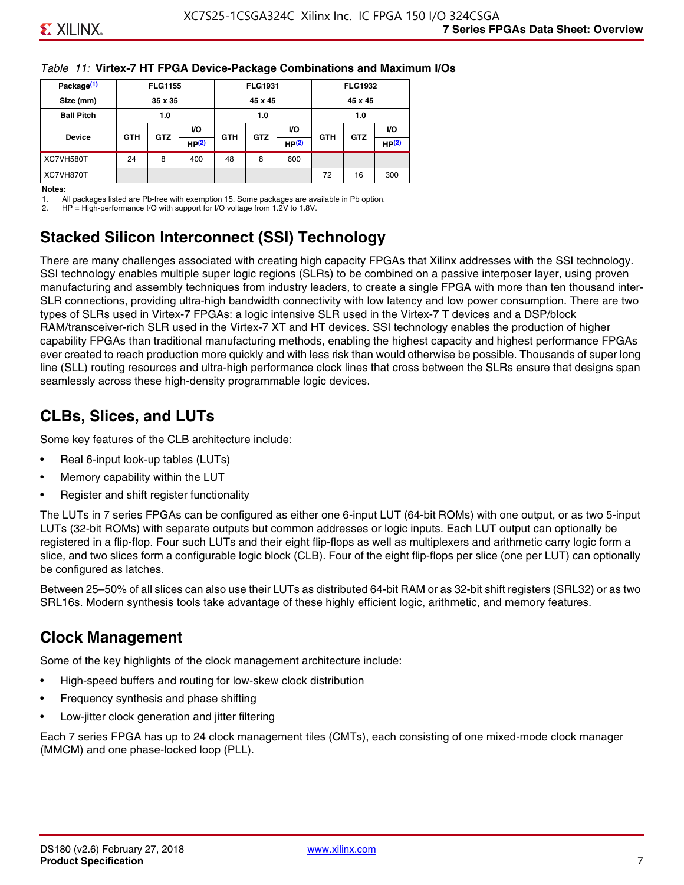#### *Table 11:* **Virtex-7 HT FPGA Device-Package Combinations and Maximum I/Os**

| Package <sup>(1)</sup> |            | <b>FLG1155</b> |       |            | <b>FLG1931</b> |           |            | <b>FLG1932</b> |                   |
|------------------------|------------|----------------|-------|------------|----------------|-----------|------------|----------------|-------------------|
| Size (mm)              |            | 35 x 35        |       |            | 45 x 45        |           |            | 45 x 45        |                   |
| <b>Ball Pitch</b>      |            | 1.0            |       |            | 1.0            |           |            | 1.0            |                   |
|                        |            | <b>GTZ</b>     | VO.   |            |                | <b>VO</b> | <b>GTH</b> | <b>GTZ</b>     | VO.               |
| <b>Device</b>          | <b>GTH</b> |                | HP(2) | <b>GTH</b> | <b>GTZ</b>     | HP(2)     |            |                | HP <sup>(2)</sup> |
| XC7VH580T              | 24         | 8              | 400   | 48         | 8              | 600       |            |                |                   |
| XC7VH870T              |            |                |       |            |                |           | 72         | 16             | 300               |

#### **Notes:**

1. All packages listed are Pb-free with exemption 15. Some packages are available in Pb option.

2. HP = High-performance I/O with support for I/O voltage from 1.2V to 1.8V.

# **Stacked Silicon Interconnect (SSI) Technology**

There are many challenges associated with creating high capacity FPGAs that Xilinx addresses with the SSI technology. SSI technology enables multiple super logic regions (SLRs) to be combined on a passive interposer layer, using proven manufacturing and assembly techniques from industry leaders, to create a single FPGA with more than ten thousand inter-SLR connections, providing ultra-high bandwidth connectivity with low latency and low power consumption. There are two types of SLRs used in Virtex-7 FPGAs: a logic intensive SLR used in the Virtex-7 T devices and a DSP/block RAM/transceiver-rich SLR used in the Virtex-7 XT and HT devices. SSI technology enables the production of higher capability FPGAs than traditional manufacturing methods, enabling the highest capacity and highest performance FPGAs ever created to reach production more quickly and with less risk than would otherwise be possible. Thousands of super long line (SLL) routing resources and ultra-high performance clock lines that cross between the SLRs ensure that designs span seamlessly across these high-density programmable logic devices.

# **CLBs, Slices, and LUTs**

Some key features of the CLB architecture include:

- Real 6-input look-up tables (LUTs)
- Memory capability within the LUT
- Register and shift register functionality

The LUTs in 7 series FPGAs can be configured as either one 6-input LUT (64-bit ROMs) with one output, or as two 5-input LUTs (32-bit ROMs) with separate outputs but common addresses or logic inputs. Each LUT output can optionally be registered in a flip-flop. Four such LUTs and their eight flip-flops as well as multiplexers and arithmetic carry logic form a slice, and two slices form a configurable logic block (CLB). Four of the eight flip-flops per slice (one per LUT) can optionally be configured as latches.

Between 25–50% of all slices can also use their LUTs as distributed 64-bit RAM or as 32-bit shift registers (SRL32) or as two SRL16s. Modern synthesis tools take advantage of these highly efficient logic, arithmetic, and memory features.

# **Clock Management**

Some of the key highlights of the clock management architecture include:

- High-speed buffers and routing for low-skew clock distribution
- Frequency synthesis and phase shifting
- Low-jitter clock generation and jitter filtering

Each 7 series FPGA has up to 24 clock management tiles (CMTs), each consisting of one mixed-mode clock manager (MMCM) and one phase-locked loop (PLL).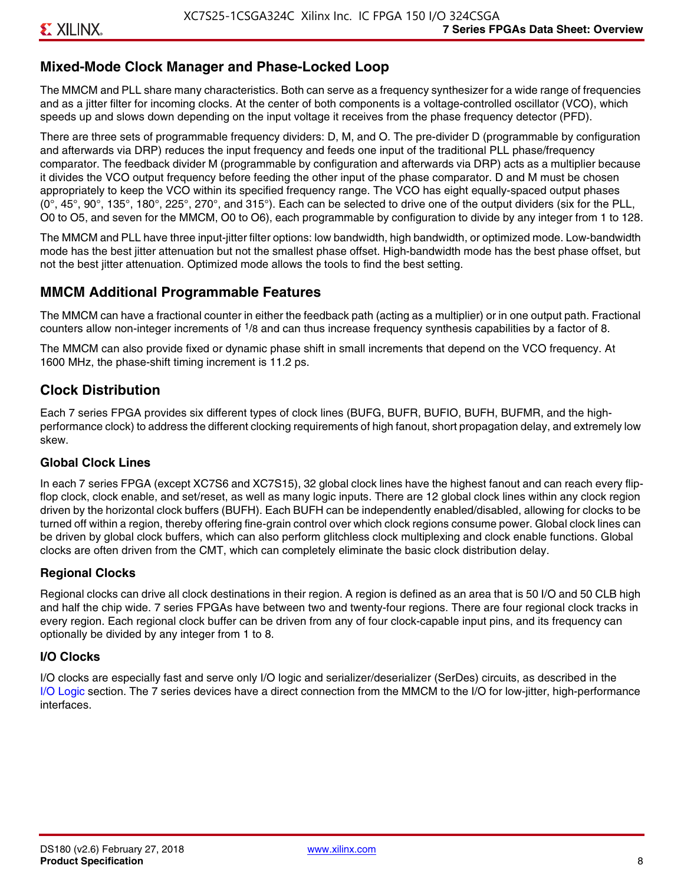# **Mixed-Mode Clock Manager and Phase-Locked Loop**

The MMCM and PLL share many characteristics. Both can serve as a frequency synthesizer for a wide range of frequencies and as a jitter filter for incoming clocks. At the center of both components is a voltage-controlled oscillator (VCO), which speeds up and slows down depending on the input voltage it receives from the phase frequency detector (PFD).

There are three sets of programmable frequency dividers: D, M, and O. The pre-divider D (programmable by configuration and afterwards via DRP) reduces the input frequency and feeds one input of the traditional PLL phase/frequency comparator. The feedback divider M (programmable by configuration and afterwards via DRP) acts as a multiplier because it divides the VCO output frequency before feeding the other input of the phase comparator. D and M must be chosen appropriately to keep the VCO within its specified frequency range. The VCO has eight equally-spaced output phases  $(0^\circ, 45^\circ, 90^\circ, 135^\circ, 180^\circ, 225^\circ, 270^\circ,$  and  $315^\circ$ ). Each can be selected to drive one of the output dividers (six for the PLL, O0 to O5, and seven for the MMCM, O0 to O6), each programmable by configuration to divide by any integer from 1 to 128.

The MMCM and PLL have three input-jitter filter options: low bandwidth, high bandwidth, or optimized mode. Low-bandwidth mode has the best jitter attenuation but not the smallest phase offset. High-bandwidth mode has the best phase offset, but not the best jitter attenuation. Optimized mode allows the tools to find the best setting.

### **MMCM Additional Programmable Features**

The MMCM can have a fractional counter in either the feedback path (acting as a multiplier) or in one output path. Fractional counters allow non-integer increments of  $1/8$  and can thus increase frequency synthesis capabilities by a factor of 8.

The MMCM can also provide fixed or dynamic phase shift in small increments that depend on the VCO frequency. At 1600 MHz, the phase-shift timing increment is 11.2 ps.

# **Clock Distribution**

Each 7 series FPGA provides six different types of clock lines (BUFG, BUFR, BUFIO, BUFH, BUFMR, and the highperformance clock) to address the different clocking requirements of high fanout, short propagation delay, and extremely low skew.

#### **Global Clock Lines**

In each 7 series FPGA (except XC7S6 and XC7S15), 32 global clock lines have the highest fanout and can reach every flipflop clock, clock enable, and set/reset, as well as many logic inputs. There are 12 global clock lines within any clock region driven by the horizontal clock buffers (BUFH). Each BUFH can be independently enabled/disabled, allowing for clocks to be turned off within a region, thereby offering fine-grain control over which clock regions consume power. Global clock lines can be driven by global clock buffers, which can also perform glitchless clock multiplexing and clock enable functions. Global clocks are often driven from the CMT, which can completely eliminate the basic clock distribution delay.

#### **Regional Clocks**

Regional clocks can drive all clock destinations in their region. A region is defined as an area that is 50 I/O and 50 CLB high and half the chip wide. 7 series FPGAs have between two and twenty-four regions. There are four regional clock tracks in every region. Each regional clock buffer can be driven from any of four clock-capable input pins, and its frequency can optionally be divided by any integer from 1 to 8.

#### **I/O Clocks**

I/O clocks are especially fast and serve only I/O logic and serializer/deserializer (SerDes) circuits, as described in the I/O Logic section. The 7 series devices have a direct connection from the MMCM to the I/O for low-jitter, high-performance interfaces.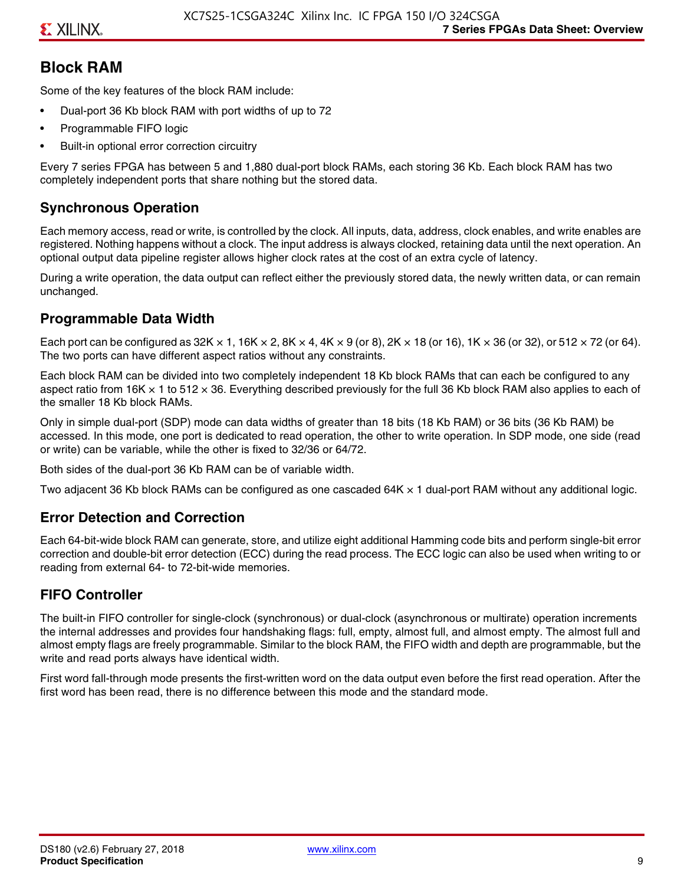# **Block RAM**

Some of the key features of the block RAM include:

- Dual-port 36 Kb block RAM with port widths of up to 72
- Programmable FIFO logic
- Built-in optional error correction circuitry

Every 7 series FPGA has between 5 and 1,880 dual-port block RAMs, each storing 36 Kb. Each block RAM has two completely independent ports that share nothing but the stored data.

# **Synchronous Operation**

Each memory access, read or write, is controlled by the clock. All inputs, data, address, clock enables, and write enables are registered. Nothing happens without a clock. The input address is always clocked, retaining data until the next operation. An optional output data pipeline register allows higher clock rates at the cost of an extra cycle of latency.

During a write operation, the data output can reflect either the previously stored data, the newly written data, or can remain unchanged.

## **Programmable Data Width**

Each port can be configured as 32K  $\times$  1, 16K  $\times$  2, 8K  $\times$  4, 4K  $\times$  9 (or 8), 2K  $\times$  18 (or 16), 1K  $\times$  36 (or 32), or 512  $\times$  72 (or 64). The two ports can have different aspect ratios without any constraints.

Each block RAM can be divided into two completely independent 18 Kb block RAMs that can each be configured to any aspect ratio from 16K  $\times$  1 to 512  $\times$  36. Everything described previously for the full 36 Kb block RAM also applies to each of the smaller 18 Kb block RAMs.

Only in simple dual-port (SDP) mode can data widths of greater than 18 bits (18 Kb RAM) or 36 bits (36 Kb RAM) be accessed. In this mode, one port is dedicated to read operation, the other to write operation. In SDP mode, one side (read or write) can be variable, while the other is fixed to 32/36 or 64/72.

Both sides of the dual-port 36 Kb RAM can be of variable width.

Two adjacent 36 Kb block RAMs can be configured as one cascaded 64K × 1 dual-port RAM without any additional logic.

### **Error Detection and Correction**

Each 64-bit-wide block RAM can generate, store, and utilize eight additional Hamming code bits and perform single-bit error correction and double-bit error detection (ECC) during the read process. The ECC logic can also be used when writing to or reading from external 64- to 72-bit-wide memories.

# **FIFO Controller**

The built-in FIFO controller for single-clock (synchronous) or dual-clock (asynchronous or multirate) operation increments the internal addresses and provides four handshaking flags: full, empty, almost full, and almost empty. The almost full and almost empty flags are freely programmable. Similar to the block RAM, the FIFO width and depth are programmable, but the write and read ports always have identical width.

First word fall-through mode presents the first-written word on the data output even before the first read operation. After the first word has been read, there is no difference between this mode and the standard mode.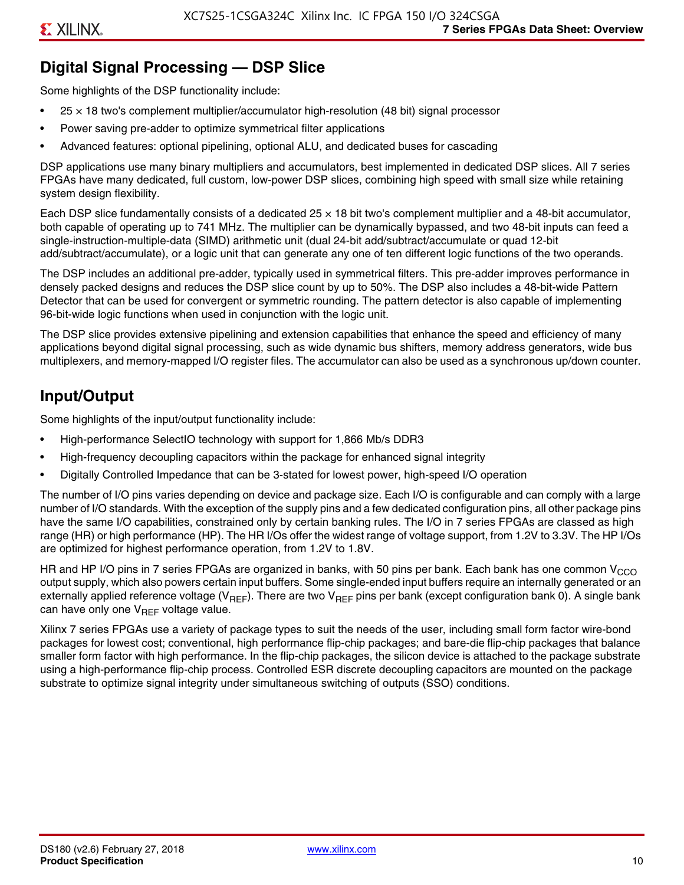# **Digital Signal Processing — DSP Slice**

Some highlights of the DSP functionality include:

- $25 \times 18$  two's complement multiplier/accumulator high-resolution (48 bit) signal processor
- Power saving pre-adder to optimize symmetrical filter applications
- Advanced features: optional pipelining, optional ALU, and dedicated buses for cascading

DSP applications use many binary multipliers and accumulators, best implemented in dedicated DSP slices. All 7 series FPGAs have many dedicated, full custom, low-power DSP slices, combining high speed with small size while retaining system design flexibility.

Each DSP slice fundamentally consists of a dedicated 25 × 18 bit two's complement multiplier and a 48-bit accumulator, both capable of operating up to 741 MHz. The multiplier can be dynamically bypassed, and two 48-bit inputs can feed a single-instruction-multiple-data (SIMD) arithmetic unit (dual 24-bit add/subtract/accumulate or quad 12-bit add/subtract/accumulate), or a logic unit that can generate any one of ten different logic functions of the two operands.

The DSP includes an additional pre-adder, typically used in symmetrical filters. This pre-adder improves performance in densely packed designs and reduces the DSP slice count by up to 50%. The DSP also includes a 48-bit-wide Pattern Detector that can be used for convergent or symmetric rounding. The pattern detector is also capable of implementing 96-bit-wide logic functions when used in conjunction with the logic unit.

The DSP slice provides extensive pipelining and extension capabilities that enhance the speed and efficiency of many applications beyond digital signal processing, such as wide dynamic bus shifters, memory address generators, wide bus multiplexers, and memory-mapped I/O register files. The accumulator can also be used as a synchronous up/down counter.

# **Input/Output**

Some highlights of the input/output functionality include:

- High-performance SelectIO technology with support for 1,866 Mb/s DDR3
- High-frequency decoupling capacitors within the package for enhanced signal integrity
- Digitally Controlled Impedance that can be 3-stated for lowest power, high-speed I/O operation

The number of I/O pins varies depending on device and package size. Each I/O is configurable and can comply with a large number of I/O standards. With the exception of the supply pins and a few dedicated configuration pins, all other package pins have the same I/O capabilities, constrained only by certain banking rules. The I/O in 7 series FPGAs are classed as high range (HR) or high performance (HP). The HR I/Os offer the widest range of voltage support, from 1.2V to 3.3V. The HP I/Os are optimized for highest performance operation, from 1.2V to 1.8V.

HR and HP I/O pins in 7 series FPGAs are organized in banks, with 50 pins per bank. Each bank has one common V<sub>CCO</sub> output supply, which also powers certain input buffers. Some single-ended input buffers require an internally generated or an externally applied reference voltage ( $V_{RFF}$ ). There are two  $V_{RFF}$  pins per bank (except configuration bank 0). A single bank can have only one  $V_{\text{RFF}}$  voltage value.

Xilinx 7 series FPGAs use a variety of package types to suit the needs of the user, including small form factor wire-bond packages for lowest cost; conventional, high performance flip-chip packages; and bare-die flip-chip packages that balance smaller form factor with high performance. In the flip-chip packages, the silicon device is attached to the package substrate using a high-performance flip-chip process. Controlled ESR discrete decoupling capacitors are mounted on the package substrate to optimize signal integrity under simultaneous switching of outputs (SSO) conditions.

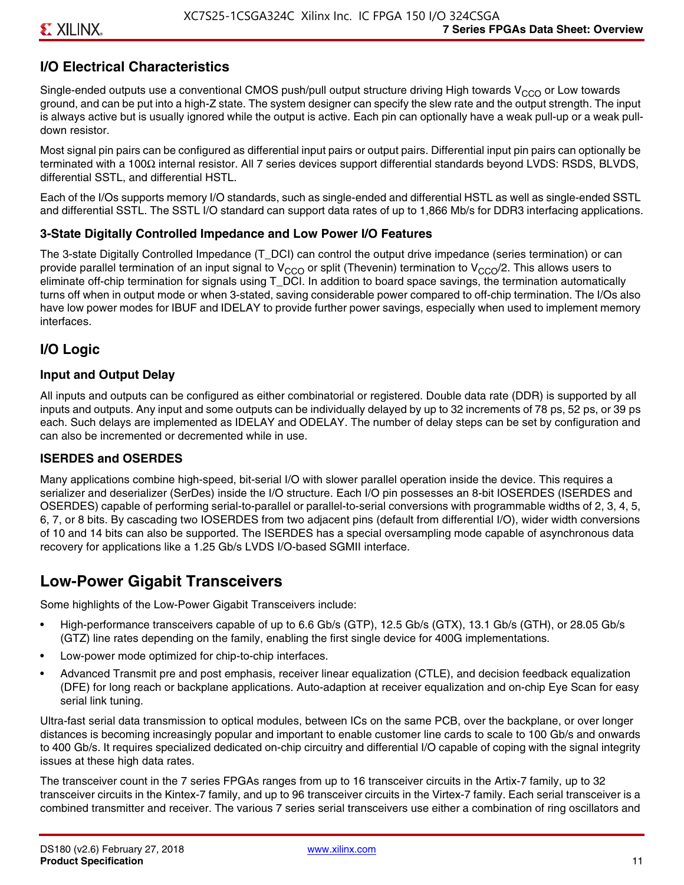# **I/O Electrical Characteristics**

Single-ended outputs use a conventional CMOS push/pull output structure driving High towards  $V_{CCO}$  or Low towards ground, and can be put into a high-Z state. The system designer can specify the slew rate and the output strength. The input is always active but is usually ignored while the output is active. Each pin can optionally have a weak pull-up or a weak pulldown resistor.

Most signal pin pairs can be configured as differential input pairs or output pairs. Differential input pin pairs can optionally be terminated with a 100Ω internal resistor. All 7 series devices support differential standards beyond LVDS: RSDS, BLVDS, differential SSTL, and differential HSTL.

Each of the I/Os supports memory I/O standards, such as single-ended and differential HSTL as well as single-ended SSTL and differential SSTL. The SSTL I/O standard can support data rates of up to 1,866 Mb/s for DDR3 interfacing applications.

#### **3-State Digitally Controlled Impedance and Low Power I/O Features**

The 3-state Digitally Controlled Impedance (T\_DCI) can control the output drive impedance (series termination) or can provide parallel termination of an input signal to V<sub>CCO</sub> or split (Thevenin) termination to V<sub>CCO</sub>/2. This allows users to eliminate off-chip termination for signals using T\_DCI. In addition to board space savings, the termination automatically turns off when in output mode or when 3-stated, saving considerable power compared to off-chip termination. The I/Os also have low power modes for IBUF and IDELAY to provide further power savings, especially when used to implement memory interfaces.

# **I/O Logic**

#### **Input and Output Delay**

All inputs and outputs can be configured as either combinatorial or registered. Double data rate (DDR) is supported by all inputs and outputs. Any input and some outputs can be individually delayed by up to 32 increments of 78 ps, 52 ps, or 39 ps each. Such delays are implemented as IDELAY and ODELAY. The number of delay steps can be set by configuration and can also be incremented or decremented while in use.

#### **ISERDES and OSERDES**

Many applications combine high-speed, bit-serial I/O with slower parallel operation inside the device. This requires a serializer and deserializer (SerDes) inside the I/O structure. Each I/O pin possesses an 8-bit IOSERDES (ISERDES and OSERDES) capable of performing serial-to-parallel or parallel-to-serial conversions with programmable widths of 2, 3, 4, 5, 6, 7, or 8 bits. By cascading two IOSERDES from two adjacent pins (default from differential I/O), wider width conversions of 10 and 14 bits can also be supported. The ISERDES has a special oversampling mode capable of asynchronous data recovery for applications like a 1.25 Gb/s LVDS I/O-based SGMII interface.

# **Low-Power Gigabit Transceivers**

Some highlights of the Low-Power Gigabit Transceivers include:

- High-performance transceivers capable of up to 6.6 Gb/s (GTP), 12.5 Gb/s (GTX), 13.1 Gb/s (GTH), or 28.05 Gb/s (GTZ) line rates depending on the family, enabling the first single device for 400G implementations.
- Low-power mode optimized for chip-to-chip interfaces.
- Advanced Transmit pre and post emphasis, receiver linear equalization (CTLE), and decision feedback equalization (DFE) for long reach or backplane applications. Auto-adaption at receiver equalization and on-chip Eye Scan for easy serial link tuning.

Ultra-fast serial data transmission to optical modules, between ICs on the same PCB, over the backplane, or over longer distances is becoming increasingly popular and important to enable customer line cards to scale to 100 Gb/s and onwards to 400 Gb/s. It requires specialized dedicated on-chip circuitry and differential I/O capable of coping with the signal integrity issues at these high data rates.

The transceiver count in the 7 series FPGAs ranges from up to 16 transceiver circuits in the Artix-7 family, up to 32 transceiver circuits in the Kintex-7 family, and up to 96 transceiver circuits in the Virtex-7 family. Each serial transceiver is a combined transmitter and receiver. The various 7 series serial transceivers use either a combination of ring oscillators and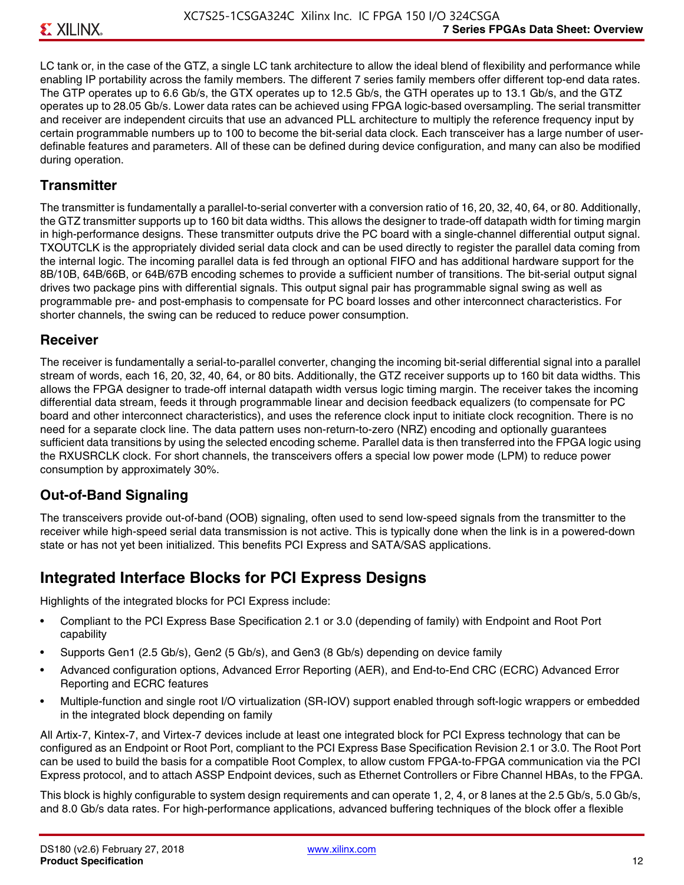LC tank or, in the case of the GTZ, a single LC tank architecture to allow the ideal blend of flexibility and performance while enabling IP portability across the family members. The different 7 series family members offer different top-end data rates. The GTP operates up to 6.6 Gb/s, the GTX operates up to 12.5 Gb/s, the GTH operates up to 13.1 Gb/s, and the GTZ operates up to 28.05 Gb/s. Lower data rates can be achieved using FPGA logic-based oversampling. The serial transmitter and receiver are independent circuits that use an advanced PLL architecture to multiply the reference frequency input by certain programmable numbers up to 100 to become the bit-serial data clock. Each transceiver has a large number of userdefinable features and parameters. All of these can be defined during device configuration, and many can also be modified during operation.

## **Transmitter**

The transmitter is fundamentally a parallel-to-serial converter with a conversion ratio of 16, 20, 32, 40, 64, or 80. Additionally, the GTZ transmitter supports up to 160 bit data widths. This allows the designer to trade-off datapath width for timing margin in high-performance designs. These transmitter outputs drive the PC board with a single-channel differential output signal. TXOUTCLK is the appropriately divided serial data clock and can be used directly to register the parallel data coming from the internal logic. The incoming parallel data is fed through an optional FIFO and has additional hardware support for the 8B/10B, 64B/66B, or 64B/67B encoding schemes to provide a sufficient number of transitions. The bit-serial output signal drives two package pins with differential signals. This output signal pair has programmable signal swing as well as programmable pre- and post-emphasis to compensate for PC board losses and other interconnect characteristics. For shorter channels, the swing can be reduced to reduce power consumption.

### **Receiver**

The receiver is fundamentally a serial-to-parallel converter, changing the incoming bit-serial differential signal into a parallel stream of words, each 16, 20, 32, 40, 64, or 80 bits. Additionally, the GTZ receiver supports up to 160 bit data widths. This allows the FPGA designer to trade-off internal datapath width versus logic timing margin. The receiver takes the incoming differential data stream, feeds it through programmable linear and decision feedback equalizers (to compensate for PC board and other interconnect characteristics), and uses the reference clock input to initiate clock recognition. There is no need for a separate clock line. The data pattern uses non-return-to-zero (NRZ) encoding and optionally guarantees sufficient data transitions by using the selected encoding scheme. Parallel data is then transferred into the FPGA logic using the RXUSRCLK clock. For short channels, the transceivers offers a special low power mode (LPM) to reduce power consumption by approximately 30%.

# **Out-of-Band Signaling**

The transceivers provide out-of-band (OOB) signaling, often used to send low-speed signals from the transmitter to the receiver while high-speed serial data transmission is not active. This is typically done when the link is in a powered-down state or has not yet been initialized. This benefits PCI Express and SATA/SAS applications.

# **Integrated Interface Blocks for PCI Express Designs**

Highlights of the integrated blocks for PCI Express include:

- Compliant to the PCI Express Base Specification 2.1 or 3.0 (depending of family) with Endpoint and Root Port capability
- Supports Gen1 (2.5 Gb/s), Gen2 (5 Gb/s), and Gen3 (8 Gb/s) depending on device family
- Advanced configuration options, Advanced Error Reporting (AER), and End-to-End CRC (ECRC) Advanced Error Reporting and ECRC features
- Multiple-function and single root I/O virtualization (SR-IOV) support enabled through soft-logic wrappers or embedded in the integrated block depending on family

All Artix-7, Kintex-7, and Virtex-7 devices include at least one integrated block for PCI Express technology that can be configured as an Endpoint or Root Port, compliant to the PCI Express Base Specification Revision 2.1 or 3.0. The Root Port can be used to build the basis for a compatible Root Complex, to allow custom FPGA-to-FPGA communication via the PCI Express protocol, and to attach ASSP Endpoint devices, such as Ethernet Controllers or Fibre Channel HBAs, to the FPGA.

This block is highly configurable to system design requirements and can operate 1, 2, 4, or 8 lanes at the 2.5 Gb/s, 5.0 Gb/s, and 8.0 Gb/s data rates. For high-performance applications, advanced buffering techniques of the block offer a flexible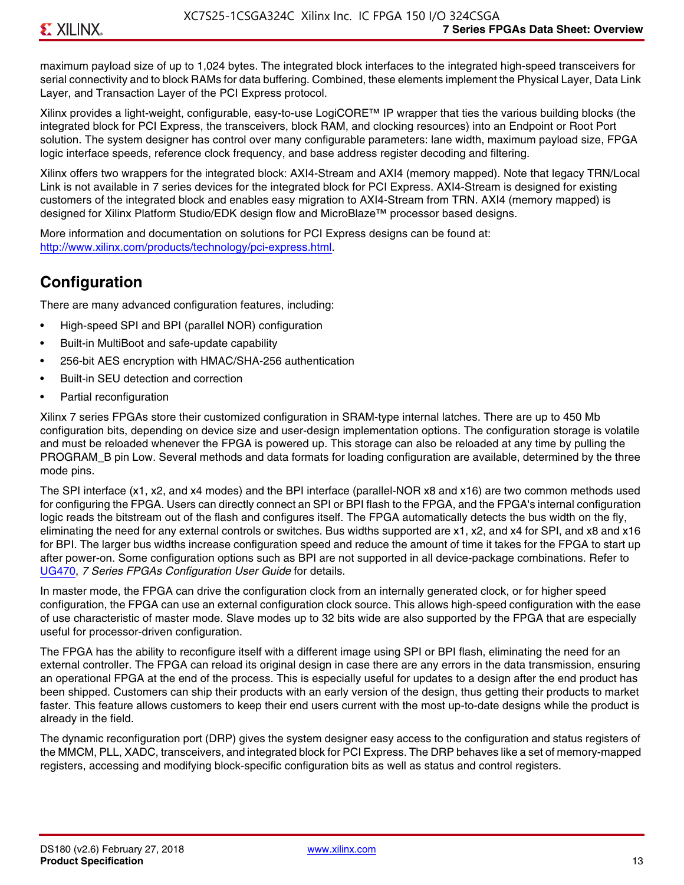maximum payload size of up to 1,024 bytes. The integrated block interfaces to the integrated high-speed transceivers for serial connectivity and to block RAMs for data buffering. Combined, these elements implement the Physical Layer, Data Link Layer, and Transaction Layer of the PCI Express protocol.

Xilinx provides a light-weight, configurable, easy-to-use LogiCORE™ IP wrapper that ties the various building blocks (the integrated block for PCI Express, the transceivers, block RAM, and clocking resources) into an Endpoint or Root Port solution. The system designer has control over many configurable parameters: lane width, maximum payload size, FPGA logic interface speeds, reference clock frequency, and base address register decoding and filtering.

Xilinx offers two wrappers for the integrated block: AXI4-Stream and AXI4 (memory mapped). Note that legacy TRN/Local Link is not available in 7 series devices for the integrated block for PCI Express. AXI4-Stream is designed for existing customers of the integrated block and enables easy migration to AXI4-Stream from TRN. AXI4 (memory mapped) is designed for Xilinx Platform Studio/EDK design flow and MicroBlaze™ processor based designs.

More information and documentation on solutions for PCI Express designs can be found at: <http://www.xilinx.com/products/technology/pci-express.html>.

# **Configuration**

There are many advanced configuration features, including:

- High-speed SPI and BPI (parallel NOR) configuration
- Built-in MultiBoot and safe-update capability
- 256-bit AES encryption with HMAC/SHA-256 authentication
- Built-in SEU detection and correction
- Partial reconfiguration

Xilinx 7 series FPGAs store their customized configuration in SRAM-type internal latches. There are up to 450 Mb configuration bits, depending on device size and user-design implementation options. The configuration storage is volatile and must be reloaded whenever the FPGA is powered up. This storage can also be reloaded at any time by pulling the PROGRAM B pin Low. Several methods and data formats for loading configuration are available, determined by the three mode pins.

The SPI interface (x1, x2, and x4 modes) and the BPI interface (parallel-NOR x8 and x16) are two common methods used for configuring the FPGA. Users can directly connect an SPI or BPI flash to the FPGA, and the FPGA's internal configuration logic reads the bitstream out of the flash and configures itself. The FPGA automatically detects the bus width on the fly, eliminating the need for any external controls or switches. Bus widths supported are x1, x2, and x4 for SPI, and x8 and x16 for BPI. The larger bus widths increase configuration speed and reduce the amount of time it takes for the FPGA to start up after power-on. Some configuration options such as BPI are not supported in all device-package combinations. Refer to [UG470,](http://www.xilinx.com/support/documentation/user_guides/ug470_7Series_Config.pdf) *7 Series FPGAs Configuration User Guide* for details.

In master mode, the FPGA can drive the configuration clock from an internally generated clock, or for higher speed configuration, the FPGA can use an external configuration clock source. This allows high-speed configuration with the ease of use characteristic of master mode. Slave modes up to 32 bits wide are also supported by the FPGA that are especially useful for processor-driven configuration.

The FPGA has the ability to reconfigure itself with a different image using SPI or BPI flash, eliminating the need for an external controller. The FPGA can reload its original design in case there are any errors in the data transmission, ensuring an operational FPGA at the end of the process. This is especially useful for updates to a design after the end product has been shipped. Customers can ship their products with an early version of the design, thus getting their products to market faster. This feature allows customers to keep their end users current with the most up-to-date designs while the product is already in the field.

The dynamic reconfiguration port (DRP) gives the system designer easy access to the configuration and status registers of the MMCM, PLL, XADC, transceivers, and integrated block for PCI Express. The DRP behaves like a set of memory-mapped registers, accessing and modifying block-specific configuration bits as well as status and control registers.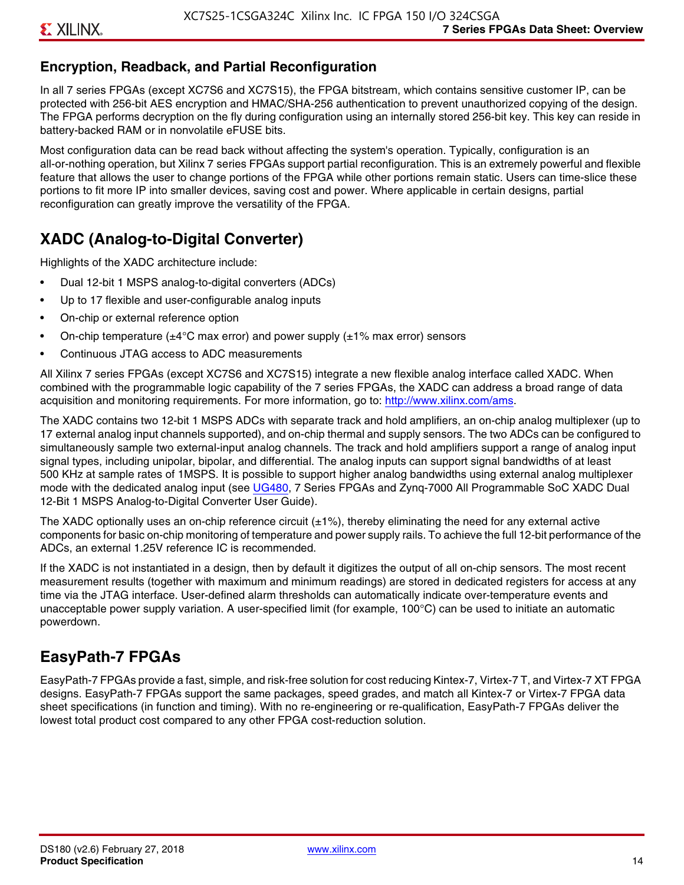# **Encryption, Readback, and Partial Reconfiguration**

In all 7 series FPGAs (except XC7S6 and XC7S15), the FPGA bitstream, which contains sensitive customer IP, can be protected with 256-bit AES encryption and HMAC/SHA-256 authentication to prevent unauthorized copying of the design. The FPGA performs decryption on the fly during configuration using an internally stored 256-bit key. This key can reside in battery-backed RAM or in nonvolatile eFUSE bits.

Most configuration data can be read back without affecting the system's operation. Typically, configuration is an all-or-nothing operation, but Xilinx 7 series FPGAs support partial reconfiguration. This is an extremely powerful and flexible feature that allows the user to change portions of the FPGA while other portions remain static. Users can time-slice these portions to fit more IP into smaller devices, saving cost and power. Where applicable in certain designs, partial reconfiguration can greatly improve the versatility of the FPGA.

# **XADC (Analog-to-Digital Converter)**

Highlights of the XADC architecture include:

- Dual 12-bit 1 MSPS analog-to-digital converters (ADCs)
- Up to 17 flexible and user-configurable analog inputs
- On-chip or external reference option
- On-chip temperature ( $\pm 4^{\circ}$ C max error) and power supply ( $\pm 1\%$  max error) sensors
- Continuous JTAG access to ADC measurements

All Xilinx 7 series FPGAs (except XC7S6 and XC7S15) integrate a new flexible analog interface called XADC. When combined with the programmable logic capability of the 7 series FPGAs, the XADC can address a broad range of data acquisition and monitoring requirements. For more information, go to: [http://www.xilinx.com/ams.](http://www.xilinx.com/ams)

The XADC contains two 12-bit 1 MSPS ADCs with separate track and hold amplifiers, an on-chip analog multiplexer (up to 17 external analog input channels supported), and on-chip thermal and supply sensors. The two ADCs can be configured to simultaneously sample two external-input analog channels. The track and hold amplifiers support a range of analog input signal types, including unipolar, bipolar, and differential. The analog inputs can support signal bandwidths of at least 500 KHz at sample rates of 1MSPS. It is possible to support higher analog bandwidths using external analog multiplexer mode with the dedicated analog input (see [UG480](http://www.xilinx.com/support/documentation/user_guides/ug480_7Series_XADC.pdf), 7 Series FPGAs and Zynq-7000 All Programmable SoC XADC Dual 12-Bit 1 MSPS Analog-to-Digital Converter User Guide)*.*

The XADC optionally uses an on-chip reference circuit  $(\pm 1\%)$ , thereby eliminating the need for any external active components for basic on-chip monitoring of temperature and power supply rails. To achieve the full 12-bit performance of the ADCs, an external 1.25V reference IC is recommended.

If the XADC is not instantiated in a design, then by default it digitizes the output of all on-chip sensors. The most recent measurement results (together with maximum and minimum readings) are stored in dedicated registers for access at any time via the JTAG interface. User-defined alarm thresholds can automatically indicate over-temperature events and unacceptable power supply variation. A user-specified limit (for example, 100°C) can be used to initiate an automatic powerdown.

# **EasyPath-7 FPGAs**

EasyPath-7 FPGAs provide a fast, simple, and risk-free solution for cost reducing Kintex-7, Virtex-7 T, and Virtex-7 XT FPGA designs. EasyPath-7 FPGAs support the same packages, speed grades, and match all Kintex-7 or Virtex-7 FPGA data sheet specifications (in function and timing). With no re-engineering or re-qualification, EasyPath-7 FPGAs deliver the lowest total product cost compared to any other FPGA cost-reduction solution.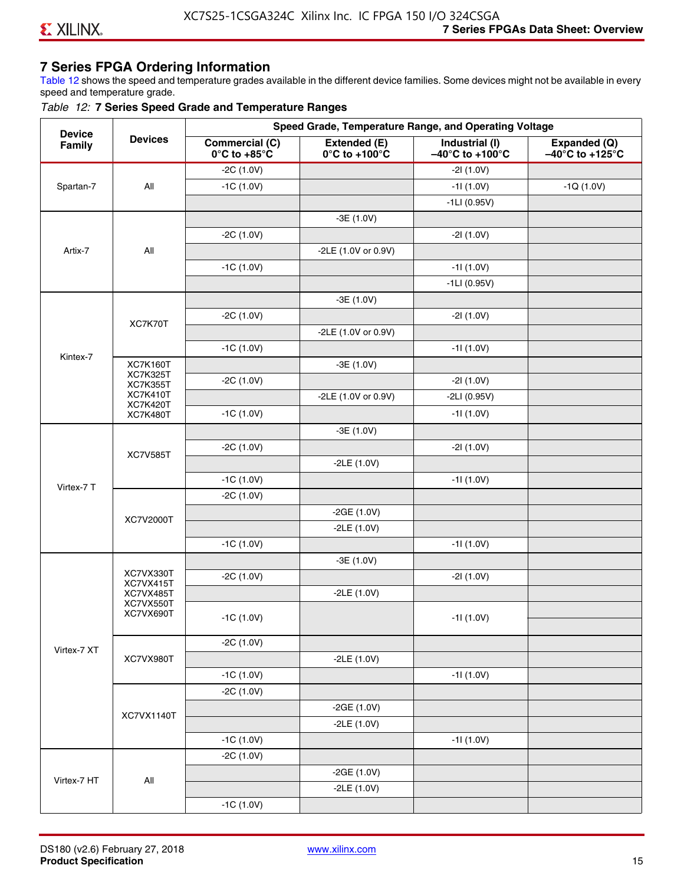# **7 Series FPGA Ordering Information**

Table 12 shows the speed and temperature grades available in the different device families. Some devices might not be available in every speed and temperature grade.

#### *Table 12:* **7 Series Speed Grade and Temperature Ranges**

| <b>Device</b> |                                    |                                                        |                                                    | Speed Grade, Temperature Range, and Operating Voltage  |                                                      |
|---------------|------------------------------------|--------------------------------------------------------|----------------------------------------------------|--------------------------------------------------------|------------------------------------------------------|
| Family        | <b>Devices</b>                     | <b>Commercial (C)</b><br>$0^\circ$ C to +85 $^\circ$ C | Extended (E)<br>$0^{\circ}$ C to +100 $^{\circ}$ C | Industrial (I)<br>$-40^{\circ}$ C to +100 $^{\circ}$ C | Expanded (Q)<br>$-40^{\circ}$ C to +125 $^{\circ}$ C |
|               |                                    | $-2C(1.0V)$                                            |                                                    | $-21(1.0V)$                                            |                                                      |
| Spartan-7     | All                                | $-1C(1.0V)$                                            |                                                    | $-11(1.0V)$                                            | $-1Q(1.0V)$                                          |
|               |                                    |                                                        |                                                    | $-1LI(0.95V)$                                          |                                                      |
|               |                                    |                                                        | $-3E(1.0V)$                                        |                                                        |                                                      |
|               |                                    | $-2C(1.0V)$                                            |                                                    | $-21(1.0V)$                                            |                                                      |
| Artix-7       | All                                |                                                        | -2LE (1.0V or 0.9V)                                |                                                        |                                                      |
|               |                                    | $-1C(1.0V)$                                            |                                                    | $-11(1.0V)$                                            |                                                      |
|               |                                    |                                                        |                                                    | $-1LI(0.95V)$                                          |                                                      |
|               |                                    |                                                        | $-3E(1.0V)$                                        |                                                        |                                                      |
|               |                                    | $-2C(1.0V)$                                            |                                                    | $-21(1.0V)$                                            |                                                      |
|               | XC7K70T                            |                                                        | -2LE (1.0V or 0.9V)                                |                                                        |                                                      |
|               |                                    | $-1C(1.0V)$                                            |                                                    | $-11(1.0V)$                                            |                                                      |
| Kintex-7      | <b>XC7K160T</b>                    |                                                        | $-3E(1.0V)$                                        |                                                        |                                                      |
|               | <b>XC7K325T</b><br><b>XC7K355T</b> | $-2C(1.0V)$                                            |                                                    | $-21(1.0V)$                                            |                                                      |
|               | <b>XC7K410T</b>                    |                                                        | -2LE (1.0V or 0.9V)                                | $-2LI(0.95V)$                                          |                                                      |
|               | <b>XC7K420T</b><br><b>XC7K480T</b> | $-1C(1.0V)$                                            |                                                    | $-11(1.0V)$                                            |                                                      |
|               |                                    |                                                        | $-3E(1.0V)$                                        |                                                        |                                                      |
|               |                                    | $-2C(1.0V)$                                            |                                                    | $-21(1.0V)$                                            |                                                      |
|               | <b>XC7V585T</b>                    |                                                        | $-2LE(1.0V)$                                       |                                                        |                                                      |
|               |                                    | $-1C(1.0V)$                                            |                                                    | $-11(1.0V)$                                            |                                                      |
| Virtex-7 T    |                                    | $-2C(1.0V)$                                            |                                                    |                                                        |                                                      |
|               |                                    |                                                        | $-2GE(1.0V)$                                       |                                                        |                                                      |
|               | XC7V2000T                          |                                                        | $-2LE(1.0V)$                                       |                                                        |                                                      |
|               |                                    | $-1C(1.0V)$                                            |                                                    | $-11(1.0V)$                                            |                                                      |
|               |                                    |                                                        | $-3E(1.0V)$                                        |                                                        |                                                      |
|               | XC7VX330T                          | $-2C(1.0V)$                                            |                                                    | $-21(1.0V)$                                            |                                                      |
|               | XC7VX415T<br>XC7VX485T             |                                                        | $-2LE(1.0V)$                                       |                                                        |                                                      |
|               | XC7VX550T<br>XC7VX690T             |                                                        |                                                    |                                                        |                                                      |
|               |                                    | $-1C(1.0V)$                                            |                                                    | -11 (1.0V)                                             |                                                      |
|               |                                    | $-2C(1.0V)$                                            |                                                    |                                                        |                                                      |
| Virtex-7 XT   | XC7VX980T                          |                                                        | $-2LE(1.0V)$                                       |                                                        |                                                      |
|               |                                    | $-1C(1.0V)$                                            |                                                    | $-11(1.0V)$                                            |                                                      |
|               |                                    | $-2C(1.0V)$                                            |                                                    |                                                        |                                                      |
|               |                                    |                                                        | $-2GE(1.0V)$                                       |                                                        |                                                      |
|               | XC7VX1140T                         |                                                        | $-2LE(1.0V)$                                       |                                                        |                                                      |
|               |                                    | $-1C(1.0V)$                                            |                                                    | $-11(1.0V)$                                            |                                                      |
|               |                                    | $-2C(1.0V)$                                            |                                                    |                                                        |                                                      |
|               |                                    |                                                        | $-2GE(1.0V)$                                       |                                                        |                                                      |
| Virtex-7 HT   | All                                |                                                        | $-2LE(1.0V)$                                       |                                                        |                                                      |
|               |                                    | $-1C(1.0V)$                                            |                                                    |                                                        |                                                      |
|               |                                    |                                                        |                                                    |                                                        |                                                      |

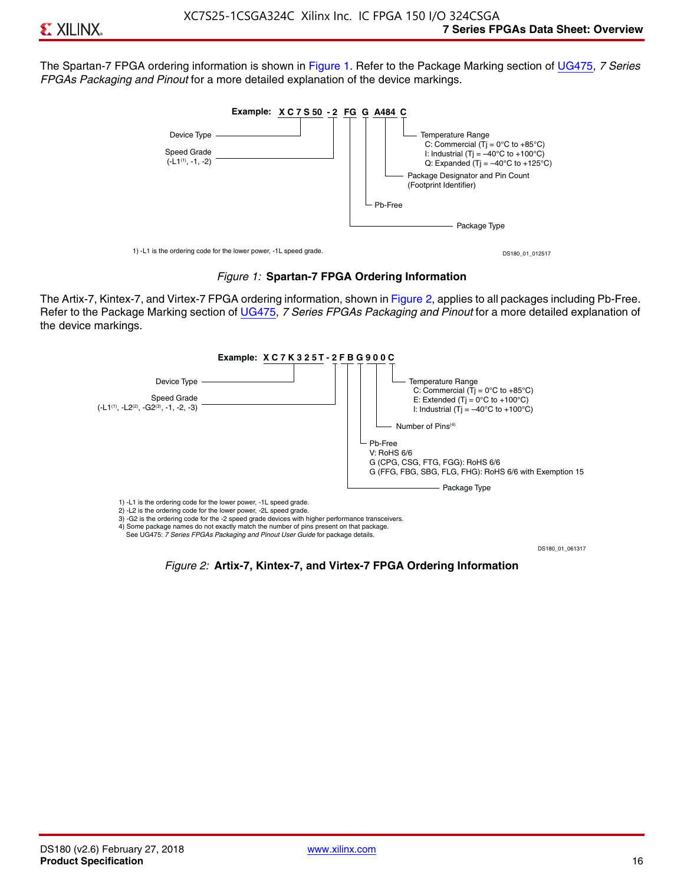The Spartan-7 FPGA ordering information is shown in Figure 1. Refer to the Package Marking section of [UG475,](http://www.xilinx.com/support/documentation/user_guides/ug475_7Series_Pkg_Pinout.pdf) *7 Series FPGAs Packaging and Pinout* for a more detailed explanation of the device markings.





The Artix-7, Kintex-7, and Virtex-7 FPGA ordering information, shown in Figure 2, applies to all packages including Pb-Free. Refer to the Package Marking section of [UG475](http://www.xilinx.com/support/documentation/user_guides/ug475_7Series_Pkg_Pinout.pdf), *7 Series FPGAs Packaging and Pinout* for a more detailed explanation of the device markings.



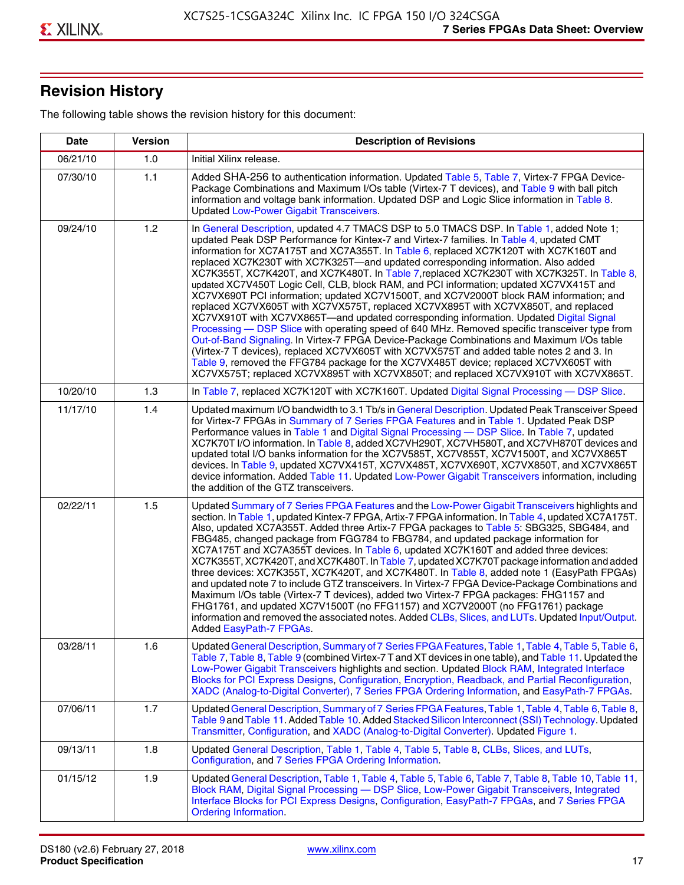# **Revision History**

The following table shows the revision history for this document:

| <b>Date</b> | <b>Version</b> | <b>Description of Revisions</b>                                                                                                                                                                                                                                                                                                                                                                                                                                                                                                                                                                                                                                                                                                                                                                                                                                                                                                                                                                                                                                                                                                                                                                                                                                                                                       |
|-------------|----------------|-----------------------------------------------------------------------------------------------------------------------------------------------------------------------------------------------------------------------------------------------------------------------------------------------------------------------------------------------------------------------------------------------------------------------------------------------------------------------------------------------------------------------------------------------------------------------------------------------------------------------------------------------------------------------------------------------------------------------------------------------------------------------------------------------------------------------------------------------------------------------------------------------------------------------------------------------------------------------------------------------------------------------------------------------------------------------------------------------------------------------------------------------------------------------------------------------------------------------------------------------------------------------------------------------------------------------|
| 06/21/10    | 1.0            | Initial Xilinx release.                                                                                                                                                                                                                                                                                                                                                                                                                                                                                                                                                                                                                                                                                                                                                                                                                                                                                                                                                                                                                                                                                                                                                                                                                                                                                               |
| 07/30/10    | 1.1            | Added SHA-256 to authentication information. Updated Table 5, Table 7, Virtex-7 FPGA Device-<br>Package Combinations and Maximum I/Os table (Virtex-7 T devices), and Table 9 with ball pitch<br>information and voltage bank information. Updated DSP and Logic Slice information in Table 8.<br><b>Updated Low-Power Gigabit Transceivers.</b>                                                                                                                                                                                                                                                                                                                                                                                                                                                                                                                                                                                                                                                                                                                                                                                                                                                                                                                                                                      |
| 09/24/10    | 1.2            | In General Description, updated 4.7 TMACS DSP to 5.0 TMACS DSP. In Table 1, added Note 1;<br>updated Peak DSP Performance for Kintex-7 and Virtex-7 families. In Table 4, updated CMT<br>information for XC7A175T and XC7A355T. In Table 6, replaced XC7K120T with XC7K160T and<br>replaced XC7K230T with XC7K325T-and updated corresponding information. Also added<br>XC7K355T, XC7K420T, and XC7K480T. In Table 7, replaced XC7K230T with XC7K325T. In Table 8,<br>updated XC7V450T Logic Cell, CLB, block RAM, and PCI information; updated XC7VX415T and<br>XC7VX690T PCI information; updated XC7V1500T, and XC7V2000T block RAM information; and<br>replaced XC7VX605T with XC7VX575T, replaced XC7VX895T with XC7VX850T, and replaced<br>XC7VX910T with XC7VX865T—and updated corresponding information. Updated Digital Signal<br>Processing - DSP Slice with operating speed of 640 MHz. Removed specific transceiver type from<br>Out-of-Band Signaling. In Virtex-7 FPGA Device-Package Combinations and Maximum I/Os table<br>(Virtex-7 T devices), replaced XC7VX605T with XC7VX575T and added table notes 2 and 3. In<br>Table 9, removed the FFG784 package for the XC7VX485T device; replaced XC7VX605T with<br>XC7VX575T; replaced XC7VX895T with XC7VX850T; and replaced XC7VX910T with XC7VX865T. |
| 10/20/10    | 1.3            | In Table 7, replaced XC7K120T with XC7K160T. Updated Digital Signal Processing - DSP Slice.                                                                                                                                                                                                                                                                                                                                                                                                                                                                                                                                                                                                                                                                                                                                                                                                                                                                                                                                                                                                                                                                                                                                                                                                                           |
| 11/17/10    | 1.4            | Updated maximum I/O bandwidth to 3.1 Tb/s in General Description. Updated Peak Transceiver Speed<br>for Virtex-7 FPGAs in Summary of 7 Series FPGA Features and in Table 1. Updated Peak DSP<br>Performance values in Table 1 and Digital Signal Processing - DSP Slice. In Table 7, updated<br>XC7K70T I/O information. In Table 8, added XC7VH290T, XC7VH580T, and XC7VH870T devices and<br>updated total I/O banks information for the XC7V585T, XC7V855T, XC7V1500T, and XC7VX865T<br>devices. In Table 9, updated XC7VX415T, XC7VX485T, XC7VX690T, XC7VX850T, and XC7VX865T<br>device information. Added Table 11. Updated Low-Power Gigabit Transceivers information, including<br>the addition of the GTZ transceivers.                                                                                                                                                                                                                                                                                                                                                                                                                                                                                                                                                                                        |
| 02/22/11    | 1.5            | Updated Summary of 7 Series FPGA Features and the Low-Power Gigabit Transceivers highlights and<br>section. In Table 1, updated Kintex-7 FPGA, Artix-7 FPGA information. In Table 4, updated XC7A175T.<br>Also, updated XC7A355T. Added three Artix-7 FPGA packages to Table 5: SBG325, SBG484, and<br>FBG485, changed package from FGG784 to FBG784, and updated package information for<br>XC7A175T and XC7A355T devices. In Table 6, updated XC7K160T and added three devices:<br>XC7K355T, XC7K420T, and XC7K480T. In Table 7, updated XC7K70T package information and added<br>three devices: XC7K355T, XC7K420T, and XC7K480T. In Table 8, added note 1 (EasyPath FPGAs)<br>and updated note 7 to include GTZ transceivers. In Virtex-7 FPGA Device-Package Combinations and<br>Maximum I/Os table (Virtex-7 T devices), added two Virtex-7 FPGA packages: FHG1157 and<br>FHG1761, and updated XC7V1500T (no FFG1157) and XC7V2000T (no FFG1761) package<br>information and removed the associated notes. Added CLBs, Slices, and LUTs. Updated Input/Output.<br>Added EasyPath-7 FPGAs.                                                                                                                                                                                                                        |
| 03/28/11    | 1.6            | Updated General Description, Summary of 7 Series FPGA Features, Table 1, Table 4, Table 5, Table 6,<br>Table 7, Table 8, Table 9 (combined Virtex-7 T and XT devices in one table), and Table 11. Updated the<br>Low-Power Gigabit Transceivers highlights and section. Updated Block RAM, Integrated Interface<br>Blocks for PCI Express Designs, Configuration, Encryption, Readback, and Partial Reconfiguration,<br>XADC (Analog-to-Digital Converter), 7 Series FPGA Ordering Information, and EasyPath-7 FPGAs.                                                                                                                                                                                                                                                                                                                                                                                                                                                                                                                                                                                                                                                                                                                                                                                                 |
| 07/06/11    | 1.7            | Updated General Description, Summary of 7 Series FPGA Features, Table 1, Table 4, Table 6, Table 8,<br>Table 9 and Table 11. Added Table 10. Added Stacked Silicon Interconnect (SSI) Technology. Updated<br>Transmitter, Configuration, and XADC (Analog-to-Digital Converter). Updated Figure 1.                                                                                                                                                                                                                                                                                                                                                                                                                                                                                                                                                                                                                                                                                                                                                                                                                                                                                                                                                                                                                    |
| 09/13/11    | 1.8            | Updated General Description, Table 1, Table 4, Table 5, Table 8, CLBs, Slices, and LUTs,<br>Configuration, and 7 Series FPGA Ordering Information.                                                                                                                                                                                                                                                                                                                                                                                                                                                                                                                                                                                                                                                                                                                                                                                                                                                                                                                                                                                                                                                                                                                                                                    |
| 01/15/12    | 1.9            | Updated General Description, Table 1, Table 4, Table 5, Table 6, Table 7, Table 8, Table 10, Table 11,<br>Block RAM, Digital Signal Processing - DSP Slice, Low-Power Gigabit Transceivers, Integrated<br>Interface Blocks for PCI Express Designs, Configuration, EasyPath-7 FPGAs, and 7 Series FPGA<br><b>Ordering Information.</b>                                                                                                                                                                                                                                                                                                                                                                                                                                                                                                                                                                                                                                                                                                                                                                                                                                                                                                                                                                                |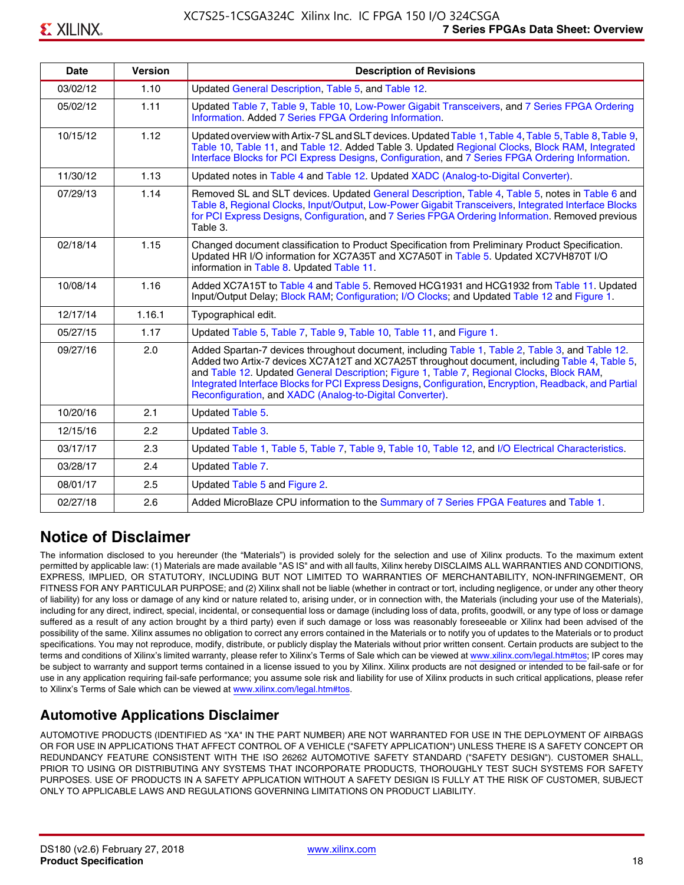| <b>Date</b> | <b>Version</b> | <b>Description of Revisions</b>                                                                                                                                                                                                                                                                                                                                                                                                                                     |
|-------------|----------------|---------------------------------------------------------------------------------------------------------------------------------------------------------------------------------------------------------------------------------------------------------------------------------------------------------------------------------------------------------------------------------------------------------------------------------------------------------------------|
| 03/02/12    | 1.10           | Updated General Description, Table 5, and Table 12.                                                                                                                                                                                                                                                                                                                                                                                                                 |
| 05/02/12    | 1.11           | Updated Table 7, Table 9, Table 10, Low-Power Gigabit Transceivers, and 7 Series FPGA Ordering<br>Information. Added 7 Series FPGA Ordering Information.                                                                                                                                                                                                                                                                                                            |
| 10/15/12    | 1.12           | Updated overview with Artix-7 SL and SLT devices. Updated Table 1, Table 4, Table 5, Table 8, Table 9,<br>Table 10, Table 11, and Table 12. Added Table 3. Updated Regional Clocks, Block RAM, Integrated<br>Interface Blocks for PCI Express Designs, Configuration, and 7 Series FPGA Ordering Information.                                                                                                                                                       |
| 11/30/12    | 1.13           | Updated notes in Table 4 and Table 12. Updated XADC (Analog-to-Digital Converter).                                                                                                                                                                                                                                                                                                                                                                                  |
| 07/29/13    | 1.14           | Removed SL and SLT devices. Updated General Description, Table 4, Table 5, notes in Table 6 and<br>Table 8, Regional Clocks, Input/Output, Low-Power Gigabit Transceivers, Integrated Interface Blocks<br>for PCI Express Designs, Configuration, and 7 Series FPGA Ordering Information. Removed previous<br>Table 3.                                                                                                                                              |
| 02/18/14    | 1.15           | Changed document classification to Product Specification from Preliminary Product Specification.<br>Updated HR I/O information for XC7A35T and XC7A50T in Table 5. Updated XC7VH870T I/O<br>information in Table 8. Updated Table 11.                                                                                                                                                                                                                               |
| 10/08/14    | 1.16           | Added XC7A15T to Table 4 and Table 5. Removed HCG1931 and HCG1932 from Table 11. Updated<br>Input/Output Delay; Block RAM; Configuration; I/O Clocks; and Updated Table 12 and Figure 1.                                                                                                                                                                                                                                                                            |
| 12/17/14    | 1.16.1         | Typographical edit.                                                                                                                                                                                                                                                                                                                                                                                                                                                 |
| 05/27/15    | 1.17           | Updated Table 5, Table 7, Table 9, Table 10, Table 11, and Figure 1.                                                                                                                                                                                                                                                                                                                                                                                                |
| 09/27/16    | 2.0            | Added Spartan-7 devices throughout document, including Table 1, Table 2, Table 3, and Table 12.<br>Added two Artix-7 devices XC7A12T and XC7A25T throughout document, including Table 4, Table 5,<br>and Table 12. Updated General Description; Figure 1, Table 7, Regional Clocks, Block RAM,<br>Integrated Interface Blocks for PCI Express Designs, Configuration, Encryption, Readback, and Partial<br>Reconfiguration, and XADC (Analog-to-Digital Converter). |
| 10/20/16    | 2.1            | Updated Table 5.                                                                                                                                                                                                                                                                                                                                                                                                                                                    |
| 12/15/16    | 2.2            | Updated Table 3.                                                                                                                                                                                                                                                                                                                                                                                                                                                    |
| 03/17/17    | 2.3            | Updated Table 1, Table 5, Table 7, Table 9, Table 10, Table 12, and I/O Electrical Characteristics.                                                                                                                                                                                                                                                                                                                                                                 |
| 03/28/17    | 2.4            | Updated Table 7.                                                                                                                                                                                                                                                                                                                                                                                                                                                    |
| 08/01/17    | 2.5            | Updated Table 5 and Figure 2.                                                                                                                                                                                                                                                                                                                                                                                                                                       |
| 02/27/18    | 2.6            | Added MicroBlaze CPU information to the Summary of 7 Series FPGA Features and Table 1.                                                                                                                                                                                                                                                                                                                                                                              |

# **Notice of Disclaimer**

The information disclosed to you hereunder (the "Materials") is provided solely for the selection and use of Xilinx products. To the maximum extent permitted by applicable law: (1) Materials are made available "AS IS" and with all faults, Xilinx hereby DISCLAIMS ALL WARRANTIES AND CONDITIONS, EXPRESS, IMPLIED, OR STATUTORY, INCLUDING BUT NOT LIMITED TO WARRANTIES OF MERCHANTABILITY, NON-INFRINGEMENT, OR FITNESS FOR ANY PARTICULAR PURPOSE; and (2) Xilinx shall not be liable (whether in contract or tort, including negligence, or under any other theory of liability) for any loss or damage of any kind or nature related to, arising under, or in connection with, the Materials (including your use of the Materials), including for any direct, indirect, special, incidental, or consequential loss or damage (including loss of data, profits, goodwill, or any type of loss or damage suffered as a result of any action brought by a third party) even if such damage or loss was reasonably foreseeable or Xilinx had been advised of the possibility of the same. Xilinx assumes no obligation to correct any errors contained in the Materials or to notify you of updates to the Materials or to product specifications. You may not reproduce, modify, distribute, or publicly display the Materials without prior written consent. Certain products are subject to the terms and conditions of Xilinx's limited warranty, please refer to Xilinx's Terms of Sale which can be viewed at [www.xilinx.com/legal.htm#tos;](www.xilinx.com/legal.htm#tos) IP cores may be subject to warranty and support terms contained in a license issued to you by Xilinx. Xilinx products are not designed or intended to be fail-safe or for use in any application requiring fail-safe performance; you assume sole risk and liability for use of Xilinx products in such critical applications, please refer to Xilinx's Terms of Sale which can be viewed at <www.xilinx.com/legal.htm#tos>.

# **Automotive Applications Disclaimer**

AUTOMOTIVE PRODUCTS (IDENTIFIED AS "XA" IN THE PART NUMBER) ARE NOT WARRANTED FOR USE IN THE DEPLOYMENT OF AIRBAGS OR FOR USE IN APPLICATIONS THAT AFFECT CONTROL OF A VEHICLE ("SAFETY APPLICATION") UNLESS THERE IS A SAFETY CONCEPT OR REDUNDANCY FEATURE CONSISTENT WITH THE ISO 26262 AUTOMOTIVE SAFETY STANDARD ("SAFETY DESIGN"). CUSTOMER SHALL, PRIOR TO USING OR DISTRIBUTING ANY SYSTEMS THAT INCORPORATE PRODUCTS, THOROUGHLY TEST SUCH SYSTEMS FOR SAFETY PURPOSES. USE OF PRODUCTS IN A SAFETY APPLICATION WITHOUT A SAFETY DESIGN IS FULLY AT THE RISK OF CUSTOMER, SUBJECT ONLY TO APPLICABLE LAWS AND REGULATIONS GOVERNING LIMITATIONS ON PRODUCT LIABILITY.